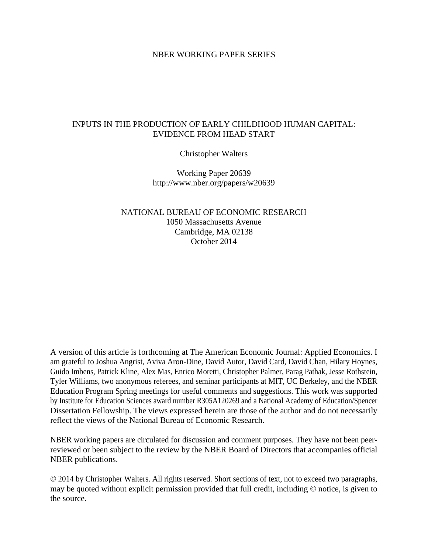## NBER WORKING PAPER SERIES

# INPUTS IN THE PRODUCTION OF EARLY CHILDHOOD HUMAN CAPITAL: EVIDENCE FROM HEAD START

Christopher Walters

Working Paper 20639 http://www.nber.org/papers/w20639

NATIONAL BUREAU OF ECONOMIC RESEARCH 1050 Massachusetts Avenue Cambridge, MA 02138 October 2014

A version of this article is forthcoming at The American Economic Journal: Applied Economics. I am grateful to Joshua Angrist, Aviva Aron-Dine, David Autor, David Card, David Chan, Hilary Hoynes, Guido Imbens, Patrick Kline, Alex Mas, Enrico Moretti, Christopher Palmer, Parag Pathak, Jesse Rothstein, Tyler Williams, two anonymous referees, and seminar participants at MIT, UC Berkeley, and the NBER Education Program Spring meetings for useful comments and suggestions. This work was supported by Institute for Education Sciences award number R305A120269 and a National Academy of Education/Spencer Dissertation Fellowship. The views expressed herein are those of the author and do not necessarily reflect the views of the National Bureau of Economic Research.

NBER working papers are circulated for discussion and comment purposes. They have not been peerreviewed or been subject to the review by the NBER Board of Directors that accompanies official NBER publications.

© 2014 by Christopher Walters. All rights reserved. Short sections of text, not to exceed two paragraphs, may be quoted without explicit permission provided that full credit, including © notice, is given to the source.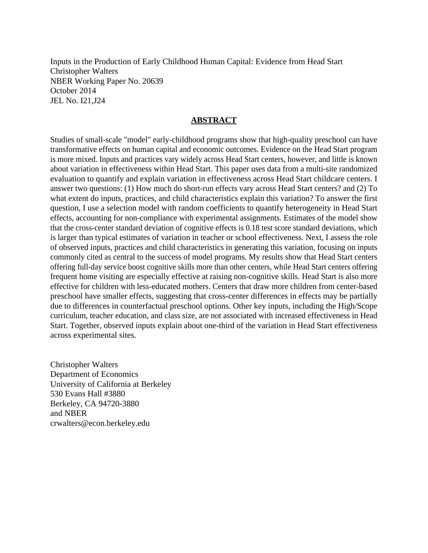Inputs in the Production of Early Childhood Human Capital: Evidence from Head Start Christopher Walters NBER Working Paper No. 20639 October 2014 JEL No. I21,J24

## **ABSTRACT**

Studies of small-scale "model" early-childhood programs show that high-quality preschool can have transformative effects on human capital and economic outcomes. Evidence on the Head Start program is more mixed. Inputs and practices vary widely across Head Start centers, however, and little is known about variation in effectiveness within Head Start. This paper uses data from a multi-site randomized evaluation to quantify and explain variation in effectiveness across Head Start childcare centers. I answer two questions: (1) How much do short-run effects vary across Head Start centers? and (2) To what extent do inputs, practices, and child characteristics explain this variation? To answer the first question, I use a selection model with random coefficients to quantify heterogeneity in Head Start effects, accounting for non-compliance with experimental assignments. Estimates of the model show that the cross-center standard deviation of cognitive effects is 0.18 test score standard deviations, which is larger than typical estimates of variation in teacher or school effectiveness. Next, I assess the role of observed inputs, practices and child characteristics in generating this variation, focusing on inputs commonly cited as central to the success of model programs. My results show that Head Start centers offering full-day service boost cognitive skills more than other centers, while Head Start centers offering frequent home visiting are especially effective at raising non-cognitive skills. Head Start is also more effective for children with less-educated mothers. Centers that draw more children from center-based preschool have smaller effects, suggesting that cross-center differences in effects may be partially due to differences in counterfactual preschool options. Other key inputs, including the High/Scope curriculum, teacher education, and class size, are not associated with increased effectiveness in Head Start. Together, observed inputs explain about one-third of the variation in Head Start effectiveness across experimental sites.

Christopher Walters Department of Economics University of California at Berkeley 530 Evans Hall #3880 Berkeley, CA 94720-3880 and NBER crwalters@econ.berkeley.edu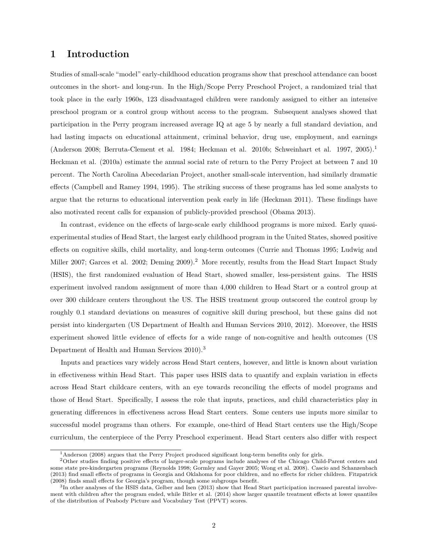## **1 Introduction**

Studies of small-scale "model" early-childhood education programs show that preschool attendance can boost outcomes in the short- and long-run. In the High/Scope Perry Preschool Project, a randomized trial that took place in the early 1960s, 123 disadvantaged children were randomly assigned to either an intensive preschool program or a control group without access to the program. Subsequent analyses showed that participation in the Perry program increased average IQ at age 5 by nearly a full standard deviation, and had lasting impacts on educational attainment, criminal behavior, drug use, employment, and earnings (Anderson 2008; Berruta-Clement et al. 1984; Heckman et al. 2010b; Schweinhart et al. 1997, 2005).<sup>1</sup> Heckman et al. (2010a) estimate the annual social rate of return to the Perry Project at between 7 and 10 percent. The North Carolina Abecedarian Project, another small-scale intervention, had similarly dramatic effects (Campbell and Ramey 1994, 1995). The striking success of these programs has led some analysts to argue that the returns to educational intervention peak early in life (Heckman 2011). These findings have also motivated recent calls for expansion of publicly-provided preschool (Obama 2013).

In contrast, evidence on the effects of large-scale early childhood programs is more mixed. Early quasiexperimental studies of Head Start, the largest early childhood program in the United States, showed positive effects on cognitive skills, child mortality, and long-term outcomes (Currie and Thomas 1995; Ludwig and Miller 2007; Garces et al. 2002; Deming 2009).<sup>2</sup> More recently, results from the Head Start Impact Study (HSIS), the first randomized evaluation of Head Start, showed smaller, less-persistent gains. The HSIS experiment involved random assignment of more than 4,000 children to Head Start or a control group at over 300 childcare centers throughout the US. The HSIS treatment group outscored the control group by roughly 0.1 standard deviations on measures of cognitive skill during preschool, but these gains did not persist into kindergarten (US Department of Health and Human Services 2010, 2012). Moreover, the HSIS experiment showed little evidence of effects for a wide range of non-cognitive and health outcomes (US Department of Health and Human Services 2010).<sup>3</sup>

Inputs and practices vary widely across Head Start centers, however, and little is known about variation in effectiveness within Head Start. This paper uses HSIS data to quantify and explain variation in effects across Head Start childcare centers, with an eye towards reconciling the effects of model programs and those of Head Start. Specifically, I assess the role that inputs, practices, and child characteristics play in generating differences in effectiveness across Head Start centers. Some centers use inputs more similar to successful model programs than others. For example, one-third of Head Start centers use the High/Scope curriculum, the centerpiece of the Perry Preschool experiment. Head Start centers also differ with respect

<sup>&</sup>lt;sup>1</sup>Anderson (2008) argues that the Perry Project produced significant long-term benefits only for girls.

<sup>2</sup>Other studies finding positive effects of larger-scale programs include analyses of the Chicago Child-Parent centers and some state pre-kindergarten programs (Reynolds 1998; Gormley and Gayer 2005; Wong et al. 2008). Cascio and Schanzenbach (2013) find small effects of programs in Georgia and Oklahoma for poor children, and no effects for richer children. Fitzpatrick (2008) finds small effects for Georgia's program, though some subgroups benefit.

<sup>&</sup>lt;sup>3</sup>In other analyses of the HSIS data, Gelber and Isen (2013) show that Head Start participation increased parental involvement with children after the program ended, while Bitler et al. (2014) show larger quantile treatment effects at lower quantiles of the distribution of Peabody Picture and Vocabulary Test (PPVT) scores.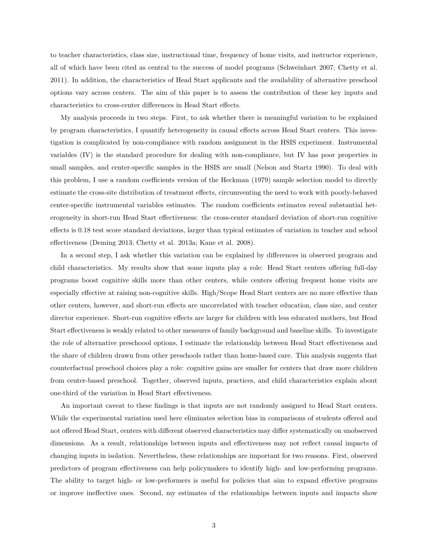to teacher characteristics, class size, instructional time, frequency of home visits, and instructor experience, all of which have been cited as central to the success of model programs (Schweinhart 2007; Chetty et al. 2011). In addition, the characteristics of Head Start applicants and the availability of alternative preschool options vary across centers. The aim of this paper is to assess the contribution of these key inputs and characteristics to cross-center differences in Head Start effects.

My analysis proceeds in two steps. First, to ask whether there is meaningful variation to be explained by program characteristics, I quantify heterogeneity in causal effects across Head Start centers. This investigation is complicated by non-compliance with random assignment in the HSIS experiment. Instrumental variables (IV) is the standard procedure for dealing with non-compliance, but IV has poor properties in small samples, and center-specific samples in the HSIS are small (Nelson and Startz 1990). To deal with this problem, I use a random coefficients version of the Heckman (1979) sample selection model to directly estimate the cross-site distribution of treatment effects, circumventing the need to work with poorly-behaved center-specific instrumental variables estimates. The random coefficients estimates reveal substantial heterogeneity in short-run Head Start effectiveness: the cross-center standard deviation of short-run cognitive effects is 0.18 test score standard deviations, larger than typical estimates of variation in teacher and school effectiveness (Deming 2013; Chetty et al. 2013a; Kane et al. 2008).

In a second step, I ask whether this variation can be explained by differences in observed program and child characteristics. My results show that some inputs play a role: Head Start centers offering full-day programs boost cognitive skills more than other centers, while centers offering frequent home visits are especially effective at raising non-cognitive skills. High/Scope Head Start centers are no more effective than other centers, however, and short-run effects are uncorrelated with teacher education, class size, and center director experience. Short-run cognitive effects are larger for children with less educated mothers, but Head Start effectiveness is weakly related to other measures of family background and baseline skills. To investigate the role of alternative preschoool options, I estimate the relationship between Head Start effectiveness and the share of children drawn from other preschools rather than home-based care. This analysis suggests that counterfactual preschool choices play a role: cognitive gains are smaller for centers that draw more children from center-based preschool. Together, observed inputs, practices, and child characteristics explain about one-third of the variation in Head Start effectiveness.

An important caveat to these findings is that inputs are not randomly assigned to Head Start centers. While the experimental variation used here eliminates selection bias in comparisons of students offered and not offered Head Start, centers with different observed characteristics may differ systematically on unobserved dimensions. As a result, relationships between inputs and effectiveness may not reflect causal impacts of changing inputs in isolation. Nevertheless, these relationships are important for two reasons. First, observed predictors of program effectiveness can help policymakers to identify high- and low-performing programs. The ability to target high- or low-performers is useful for policies that aim to expand effective programs or improve ineffective ones. Second, my estimates of the relationships between inputs and impacts show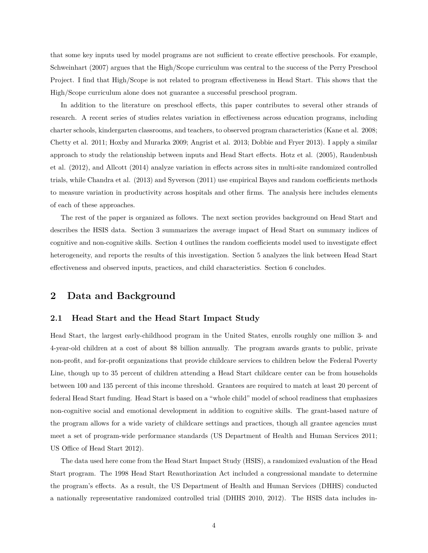that some key inputs used by model programs are not sufficient to create effective preschools. For example, Schweinhart (2007) argues that the High/Scope curriculum was central to the success of the Perry Preschool Project. I find that High/Scope is not related to program effectiveness in Head Start. This shows that the High/Scope curriculum alone does not guarantee a successful preschool program.

In addition to the literature on preschool effects, this paper contributes to several other strands of research. A recent series of studies relates variation in effectiveness across education programs, including charter schools, kindergarten classrooms, and teachers, to observed program characteristics (Kane et al. 2008; Chetty et al. 2011; Hoxby and Murarka 2009; Angrist et al. 2013; Dobbie and Fryer 2013). I apply a similar approach to study the relationship between inputs and Head Start effects. Hotz et al. (2005), Raudenbush et al. (2012), and Allcott (2014) analyze variation in effects across sites in multi-site randomized controlled trials, while Chandra et al. (2013) and Syverson (2011) use empirical Bayes and random coefficients methods to measure variation in productivity across hospitals and other firms. The analysis here includes elements of each of these approaches.

The rest of the paper is organized as follows. The next section provides background on Head Start and describes the HSIS data. Section 3 summarizes the average impact of Head Start on summary indices of cognitive and non-cognitive skills. Section 4 outlines the random coefficients model used to investigate effect heterogeneity, and reports the results of this investigation. Section 5 analyzes the link between Head Start effectiveness and observed inputs, practices, and child characteristics. Section 6 concludes.

## **2 Data and Background**

### **2.1 Head Start and the Head Start Impact Study**

Head Start, the largest early-childhood program in the United States, enrolls roughly one million 3- and 4-year-old children at a cost of about \$8 billion annually. The program awards grants to public, private non-profit, and for-profit organizations that provide childcare services to children below the Federal Poverty Line, though up to 35 percent of children attending a Head Start childcare center can be from households between 100 and 135 percent of this income threshold. Grantees are required to match at least 20 percent of federal Head Start funding. Head Start is based on a "whole child" model of school readiness that emphasizes non-cognitive social and emotional development in addition to cognitive skills. The grant-based nature of the program allows for a wide variety of childcare settings and practices, though all grantee agencies must meet a set of program-wide performance standards (US Department of Health and Human Services 2011; US Office of Head Start 2012).

The data used here come from the Head Start Impact Study (HSIS), a randomized evaluation of the Head Start program. The 1998 Head Start Reauthorization Act included a congressional mandate to determine the program's effects. As a result, the US Department of Health and Human Services (DHHS) conducted a nationally representative randomized controlled trial (DHHS 2010, 2012). The HSIS data includes in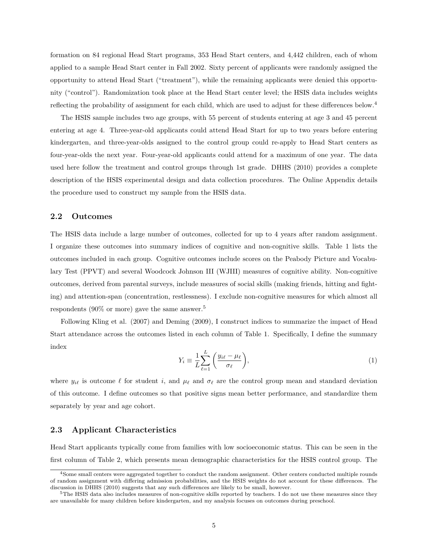formation on 84 regional Head Start programs, 353 Head Start centers, and 4,442 children, each of whom applied to a sample Head Start center in Fall 2002. Sixty percent of applicants were randomly assigned the opportunity to attend Head Start ("treatment"), while the remaining applicants were denied this opportunity ("control"). Randomization took place at the Head Start center level; the HSIS data includes weights reflecting the probability of assignment for each child, which are used to adjust for these differences below.<sup>4</sup>

The HSIS sample includes two age groups, with 55 percent of students entering at age 3 and 45 percent entering at age 4. Three-year-old applicants could attend Head Start for up to two years before entering kindergarten, and three-year-olds assigned to the control group could re-apply to Head Start centers as four-year-olds the next year. Four-year-old applicants could attend for a maximum of one year. The data used here follow the treatment and control groups through 1st grade. DHHS (2010) provides a complete description of the HSIS experimental design and data collection procedures. The Online Appendix details the procedure used to construct my sample from the HSIS data.

#### **2.2 Outcomes**

The HSIS data include a large number of outcomes, collected for up to 4 years after random assignment. I organize these outcomes into summary indices of cognitive and non-cognitive skills. Table 1 lists the outcomes included in each group. Cognitive outcomes include scores on the Peabody Picture and Vocabulary Test (PPVT) and several Woodcock Johnson III (WJIII) measures of cognitive ability. Non-cognitive outcomes, derived from parental surveys, include measures of social skills (making friends, hitting and fighting) and attention-span (concentration, restlessness). I exclude non-cognitive measures for which almost all respondents (90% or more) gave the same answer.<sup>5</sup>

Following Kling et al. (2007) and Deming (2009), I construct indices to summarize the impact of Head Start attendance across the outcomes listed in each column of Table 1. Specifically, I define the summary index

$$
Y_i \equiv \frac{1}{L} \sum_{\ell=1}^{L} \left( \frac{y_{i\ell} - \mu_{\ell}}{\sigma_{\ell}} \right),\tag{1}
$$

where  $y_{i\ell}$  is outcome  $\ell$  for student *i*, and  $\mu_{\ell}$  and  $\sigma_{\ell}$  are the control group mean and standard deviation of this outcome. I define outcomes so that positive signs mean better performance, and standardize them separately by year and age cohort.

### **2.3 Applicant Characteristics**

Head Start applicants typically come from families with low socioeconomic status. This can be seen in the first column of Table 2, which presents mean demographic characteristics for the HSIS control group. The

<sup>4</sup>Some small centers were aggregated together to conduct the random assignment. Other centers conducted multiple rounds of random assignment with differing admission probabilities, and the HSIS weights do not account for these differences. The discussion in DHHS (2010) suggests that any such differences are likely to be small, however.

<sup>&</sup>lt;sup>5</sup>The HSIS data also includes measures of non-cognitive skills reported by teachers. I do not use these measures since they are unavailable for many children before kindergarten, and my analysis focuses on outcomes during preschool.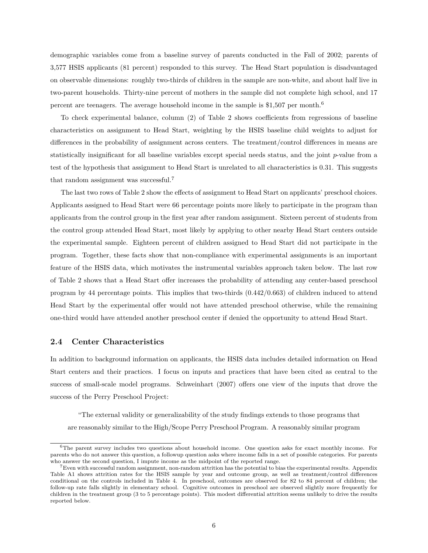demographic variables come from a baseline survey of parents conducted in the Fall of 2002; parents of 3,577 HSIS applicants (81 percent) responded to this survey. The Head Start population is disadvantaged on observable dimensions: roughly two-thirds of children in the sample are non-white, and about half live in two-parent households. Thirty-nine percent of mothers in the sample did not complete high school, and 17 percent are teenagers. The average household income in the sample is \$1,507 per month.<sup>6</sup>

To check experimental balance, column (2) of Table 2 shows coefficients from regressions of baseline characteristics on assignment to Head Start, weighting by the HSIS baseline child weights to adjust for differences in the probability of assignment across centers. The treatment/control differences in means are statistically insignificant for all baseline variables except special needs status, and the joint *p*-value from a test of the hypothesis that assignment to Head Start is unrelated to all characteristics is 0.31. This suggests that random assignment was successful.<sup>7</sup>

The last two rows of Table 2 show the effects of assignment to Head Start on applicants' preschool choices. Applicants assigned to Head Start were 66 percentage points more likely to participate in the program than applicants from the control group in the first year after random assignment. Sixteen percent of students from the control group attended Head Start, most likely by applying to other nearby Head Start centers outside the experimental sample. Eighteen percent of children assigned to Head Start did not participate in the program. Together, these facts show that non-compliance with experimental assignments is an important feature of the HSIS data, which motivates the instrumental variables approach taken below. The last row of Table 2 shows that a Head Start offer increases the probability of attending any center-based preschool program by 44 percentage points. This implies that two-thirds (0.442/0.663) of children induced to attend Head Start by the experimental offer would not have attended preschool otherwise, while the remaining one-third would have attended another preschool center if denied the opportunity to attend Head Start.

## **2.4 Center Characteristics**

In addition to background information on applicants, the HSIS data includes detailed information on Head Start centers and their practices. I focus on inputs and practices that have been cited as central to the success of small-scale model programs. Schweinhart (2007) offers one view of the inputs that drove the success of the Perry Preschool Project:

"The external validity or generalizability of the study findings extends to those programs that are reasonably similar to the High/Scope Perry Preschool Program. A reasonably similar program

 $6$ The parent survey includes two questions about household income. One question asks for exact monthly income. For parents who do not answer this question, a followup question asks where income falls in a set of possible categories. For parents who answer the second question, I impute income as the midpoint of the reported range.

 $7$ Even with successful random assignment, non-random attrition has the potential to bias the experimental results. Appendix Table A1 shows attrition rates for the HSIS sample by year and outcome group, as well as treatment/control differences conditional on the controls included in Table 4. In preschool, outcomes are observed for 82 to 84 percent of children; the follow-up rate falls slightly in elementary school. Cognitive outcomes in preschool are observed slightly more frequently for children in the treatment group (3 to 5 percentage points). This modest differential attrition seems unlikely to drive the results reported below.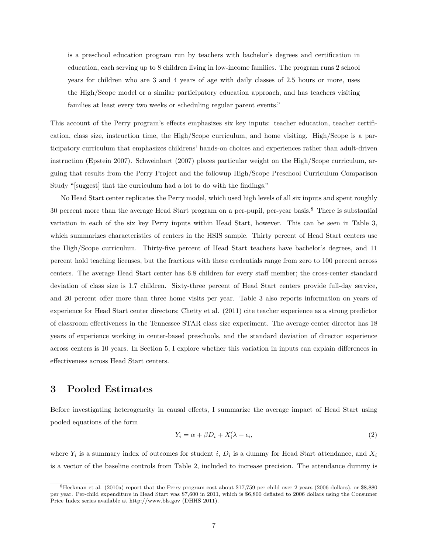is a preschool education program run by teachers with bachelor's degrees and certification in education, each serving up to 8 children living in low-income families. The program runs 2 school years for children who are 3 and 4 years of age with daily classes of 2.5 hours or more, uses the High/Scope model or a similar participatory education approach, and has teachers visiting families at least every two weeks or scheduling regular parent events."

This account of the Perry program's effects emphasizes six key inputs: teacher education, teacher certification, class size, instruction time, the High/Scope curriculum, and home visiting. High/Scope is a participatory curriculum that emphasizes childrens' hands-on choices and experiences rather than adult-driven instruction (Epstein 2007). Schweinhart (2007) places particular weight on the High/Scope curriculum, arguing that results from the Perry Project and the followup High/Scope Preschool Curriculum Comparison Study "[suggest] that the curriculum had a lot to do with the findings."

No Head Start center replicates the Perry model, which used high levels of all six inputs and spent roughly 30 percent more than the average Head Start program on a per-pupil, per-year basis.<sup>8</sup> There is substantial variation in each of the six key Perry inputs within Head Start, however. This can be seen in Table 3, which summarizes characteristics of centers in the HSIS sample. Thirty percent of Head Start centers use the High/Scope curriculum. Thirty-five percent of Head Start teachers have bachelor's degrees, and 11 percent hold teaching licenses, but the fractions with these credentials range from zero to 100 percent across centers. The average Head Start center has 6.8 children for every staff member; the cross-center standard deviation of class size is 1.7 children. Sixty-three percent of Head Start centers provide full-day service, and 20 percent offer more than three home visits per year. Table 3 also reports information on years of experience for Head Start center directors; Chetty et al. (2011) cite teacher experience as a strong predictor of classroom effectiveness in the Tennessee STAR class size experiment. The average center director has 18 years of experience working in center-based preschools, and the standard deviation of director experience across centers is 10 years. In Section 5, I explore whether this variation in inputs can explain differences in effectiveness across Head Start centers.

## **3 Pooled Estimates**

Before investigating heterogeneity in causal effects, I summarize the average impact of Head Start using pooled equations of the form

$$
Y_i = \alpha + \beta D_i + X_i' \lambda + \epsilon_i,\tag{2}
$$

where  $Y_i$  is a summary index of outcomes for student *i*,  $D_i$  is a dummy for Head Start attendance, and  $X_i$ is a vector of the baseline controls from Table 2, included to increase precision. The attendance dummy is

<sup>8</sup>Heckman et al. (2010a) report that the Perry program cost about \$17,759 per child over 2 years (2006 dollars), or \$8,880 per year. Per-child expenditure in Head Start was \$7,600 in 2011, which is \$6,800 deflated to 2006 dollars using the Consumer Price Index series available at http://www.bls.gov (DHHS 2011).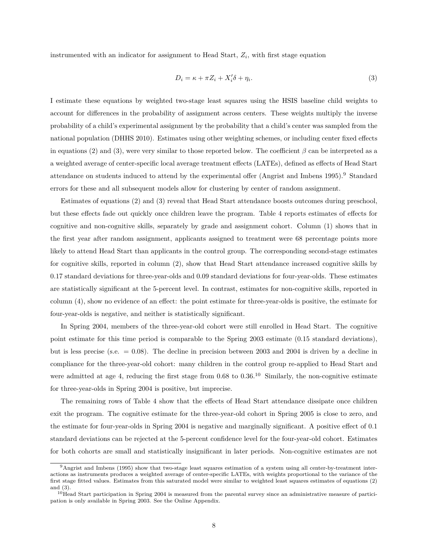instrumented with an indicator for assignment to Head Start, *Z<sup>i</sup>* , with first stage equation

$$
D_i = \kappa + \pi Z_i + X_i' \delta + \eta_i. \tag{3}
$$

I estimate these equations by weighted two-stage least squares using the HSIS baseline child weights to account for differences in the probability of assignment across centers. These weights multiply the inverse probability of a child's experimental assignment by the probability that a child's center was sampled from the national population (DHHS 2010). Estimates using other weighting schemes, or including center fixed effects in equations (2) and (3), were very similar to those reported below. The coefficient  $\beta$  can be interpreted as a a weighted average of center-specific local average treatment effects (LATEs), defined as effects of Head Start attendance on students induced to attend by the experimental offer (Angrist and Imbens 1995).<sup>9</sup> Standard errors for these and all subsequent models allow for clustering by center of random assignment.

Estimates of equations (2) and (3) reveal that Head Start attendance boosts outcomes during preschool, but these effects fade out quickly once children leave the program. Table 4 reports estimates of effects for cognitive and non-cognitive skills, separately by grade and assignment cohort. Column (1) shows that in the first year after random assignment, applicants assigned to treatment were 68 percentage points more likely to attend Head Start than applicants in the control group. The corresponding second-stage estimates for cognitive skills, reported in column (2), show that Head Start attendance increased cognitive skills by 0.17 standard deviations for three-year-olds and 0.09 standard deviations for four-year-olds. These estimates are statistically significant at the 5-percent level. In contrast, estimates for non-cognitive skills, reported in column (4), show no evidence of an effect: the point estimate for three-year-olds is positive, the estimate for four-year-olds is negative, and neither is statistically significant.

In Spring 2004, members of the three-year-old cohort were still enrolled in Head Start. The cognitive point estimate for this time period is comparable to the Spring 2003 estimate (0.15 standard deviations), but is less precise (s.e. = 0.08). The decline in precision between 2003 and 2004 is driven by a decline in compliance for the three-year-old cohort: many children in the control group re-applied to Head Start and were admitted at age 4, reducing the first stage from  $0.68$  to  $0.36$ .<sup>10</sup> Similarly, the non-cognitive estimate for three-year-olds in Spring 2004 is positive, but imprecise.

The remaining rows of Table 4 show that the effects of Head Start attendance dissipate once children exit the program. The cognitive estimate for the three-year-old cohort in Spring 2005 is close to zero, and the estimate for four-year-olds in Spring 2004 is negative and marginally significant. A positive effect of 0.1 standard deviations can be rejected at the 5-percent confidence level for the four-year-old cohort. Estimates for both cohorts are small and statistically insignificant in later periods. Non-cognitive estimates are not

<sup>9</sup>Angrist and Imbens (1995) show that two-stage least squares estimation of a system using all center-by-treatment interactions as instruments produces a weighted average of center-specific LATEs, with weights proportional to the variance of the first stage fitted values. Estimates from this saturated model were similar to weighted least squares estimates of equations (2) and (3).

 $10$ Head Start participation in Spring 2004 is measured from the parental survey since an administrative measure of participation is only available in Spring 2003. See the Online Appendix.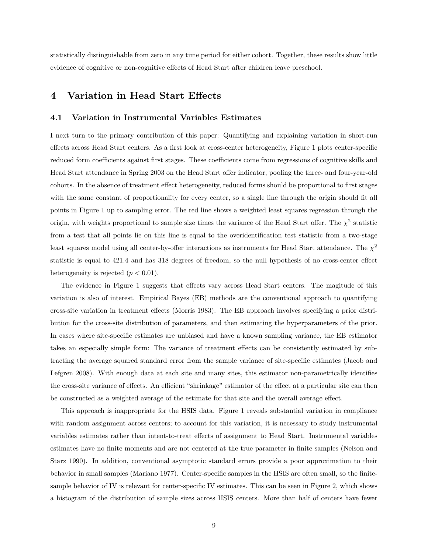statistically distinguishable from zero in any time period for either cohort. Together, these results show little evidence of cognitive or non-cognitive effects of Head Start after children leave preschool.

# **4 Variation in Head Start Effects**

#### **4.1 Variation in Instrumental Variables Estimates**

I next turn to the primary contribution of this paper: Quantifying and explaining variation in short-run effects across Head Start centers. As a first look at cross-center heterogeneity, Figure 1 plots center-specific reduced form coefficients against first stages. These coefficients come from regressions of cognitive skills and Head Start attendance in Spring 2003 on the Head Start offer indicator, pooling the three- and four-year-old cohorts. In the absence of treatment effect heterogeneity, reduced forms should be proportional to first stages with the same constant of proportionality for every center, so a single line through the origin should fit all points in Figure 1 up to sampling error. The red line shows a weighted least squares regression through the origin, with weights proportional to sample size times the variance of the Head Start offer. The  $\chi^2$  statistic from a test that all points lie on this line is equal to the overidentification test statistic from a two-stage least squares model using all center-by-offer interactions as instruments for Head Start attendance. The *χ* 2 statistic is equal to 421.4 and has 318 degrees of freedom, so the null hypothesis of no cross-center effect heterogeneity is rejected  $(p < 0.01)$ .

The evidence in Figure 1 suggests that effects vary across Head Start centers. The magitude of this variation is also of interest. Empirical Bayes (EB) methods are the conventional approach to quantifying cross-site variation in treatment effects (Morris 1983). The EB approach involves specifying a prior distribution for the cross-site distribution of parameters, and then estimating the hyperparameters of the prior. In cases where site-specific estimates are unbiased and have a known sampling variance, the EB estimator takes an especially simple form: The variance of treatment effects can be consistently estimated by subtracting the average squared standard error from the sample variance of site-specific estimates (Jacob and Lefgren 2008). With enough data at each site and many sites, this estimator non-parametrically identifies the cross-site variance of effects. An efficient "shrinkage" estimator of the effect at a particular site can then be constructed as a weighted average of the estimate for that site and the overall average effect.

This approach is inappropriate for the HSIS data. Figure 1 reveals substantial variation in compliance with random assignment across centers; to account for this variation, it is necessary to study instrumental variables estimates rather than intent-to-treat effects of assignment to Head Start. Instrumental variables estimates have no finite moments and are not centered at the true parameter in finite samples (Nelson and Starz 1990). In addition, conventional asymptotic standard errors provide a poor approximation to their behavior in small samples (Mariano 1977). Center-specific samples in the HSIS are often small, so the finitesample behavior of IV is relevant for center-specific IV estimates. This can be seen in Figure 2, which shows a histogram of the distribution of sample sizes across HSIS centers. More than half of centers have fewer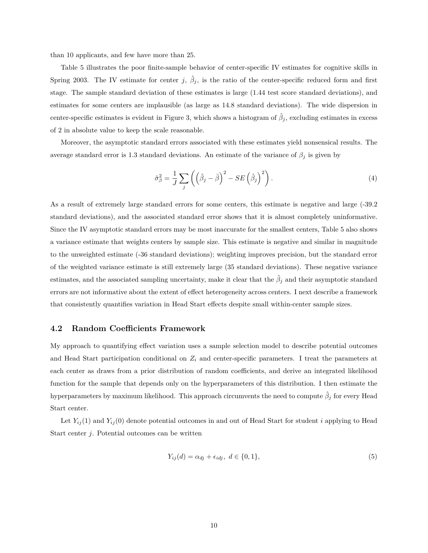than 10 applicants, and few have more than 25.

Table 5 illustrates the poor finite-sample behavior of center-specific IV estimates for cognitive skills in Spring 2003. The IV estimate for center *j*,  $\hat{\beta}_j$ , is the ratio of the center-specific reduced form and first stage. The sample standard deviation of these estimates is large (1.44 test score standard deviations), and estimates for some centers are implausible (as large as 14.8 standard deviations). The wide dispersion in center-specific estimates is evident in Figure 3, which shows a histogram of  $\hat{\beta}_j$ , excluding estimates in excess of 2 in absolute value to keep the scale reasonable.

Moreover, the asymptotic standard errors associated with these estimates yield nonsensical results. The average standard error is 1.3 standard deviations. An estimate of the variance of *β<sup>j</sup>* is given by

$$
\hat{\sigma}_{\beta}^{2} = \frac{1}{J} \sum_{j} \left( \left( \hat{\beta}_{j} - \bar{\beta} \right)^{2} - SE \left( \hat{\beta}_{j} \right)^{2} \right). \tag{4}
$$

As a result of extremely large standard errors for some centers, this estimate is negative and large (-39.2 standard deviations), and the associated standard error shows that it is almost completely uninformative. Since the IV asymptotic standard errors may be most inaccurate for the smallest centers, Table 5 also shows a variance estimate that weights centers by sample size. This estimate is negative and similar in magnitude to the unweighted estimate (-36 standard deviations); weighting improves precision, but the standard error of the weighted variance estimate is still extremely large (35 standard deviations). These negative variance estimates, and the associated sampling uncertainty, make it clear that the  $\hat{\beta}_j$  and their asymptotic standard errors are not informative about the extent of effect heterogeneity across centers. I next describe a framework that consistently quantifies variation in Head Start effects despite small within-center sample sizes.

#### **4.2 Random Coefficients Framework**

My approach to quantifying effect variation uses a sample selection model to describe potential outcomes and Head Start participation conditional on  $Z_i$  and center-specific parameters. I treat the parameters at each center as draws from a prior distribution of random coefficients, and derive an integrated likelihood function for the sample that depends only on the hyperparameters of this distribution. I then estimate the hyperparameters by maximum likelihood. This approach circumvents the need to compute  $\hat{\beta}_j$  for every Head Start center.

Let  $Y_{ij}(1)$  and  $Y_{ij}(0)$  denote potential outcomes in and out of Head Start for student *i* applying to Head Start center *j*. Potential outcomes can be written

$$
Y_{ij}(d) = \alpha_{dj} + \epsilon_{idj}, \ d \in \{0, 1\},\tag{5}
$$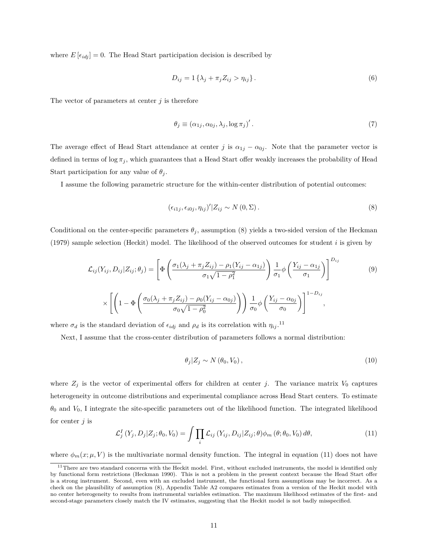where  $E\left[\epsilon_{idj}\right] = 0$ . The Head Start participation decision is described by

$$
D_{ij} = 1\left\{\lambda_j + \pi_j Z_{ij} > \eta_{ij}\right\}.
$$
\n
$$
(6)
$$

The vector of parameters at center *j* is therefore

$$
\theta_j \equiv (\alpha_{1j}, \alpha_{0j}, \lambda_j, \log \pi_j)'. \tag{7}
$$

The average effect of Head Start attendance at center *j* is  $\alpha_{1j} - \alpha_{0j}$ . Note that the parameter vector is defined in terms of  $\log \pi_j$ , which guarantees that a Head Start offer weakly increases the probability of Head Start participation for any value of  $\theta_i$ .

I assume the following parametric structure for the within-center distribution of potential outcomes:

$$
(\epsilon_{i1j}, \epsilon_{i0j}, \eta_{ij})' | Z_{ij} \sim N(0, \Sigma).
$$
 (8)

Conditional on the center-specific parameters  $\theta_j$ , assumption (8) yields a two-sided version of the Heckman (1979) sample selection (Heckit) model. The likelihood of the observed outcomes for student *i* is given by

$$
\mathcal{L}_{ij}(Y_{ij}, D_{ij}|Z_{ij}; \theta_j) = \left[\Phi\left(\frac{\sigma_1(\lambda_j + \pi_j Z_{ij}) - \rho_1(Y_{ij} - \alpha_{1j})}{\sigma_1 \sqrt{1 - \rho_1^2}}\right) \frac{1}{\sigma_1} \phi\left(\frac{Y_{ij} - \alpha_{1j}}{\sigma_1}\right)\right]^{D_{ij}}
$$
(9)  

$$
\times \left[\left(1 - \Phi\left(\frac{\sigma_0(\lambda_j + \pi_j Z_{ij}) - \rho_0(Y_{ij} - \alpha_{0j})}{\sigma_0 \sqrt{1 - \rho_0^2}}\right)\right) \frac{1}{\sigma_0} \phi\left(\frac{Y_{ij} - \alpha_{0j}}{\sigma_0}\right)\right]^{1 - D_{ij}},
$$

where  $\sigma_d$  is the standard deviation of  $\epsilon_{idj}$  and  $\rho_d$  is its correlation with  $\eta_{ij}$ .<sup>11</sup>

Next, I assume that the cross-center distribution of parameters follows a normal distribution:

$$
\theta_j | Z_j \sim N(\theta_0, V_0), \qquad (10)
$$

where  $Z_j$  is the vector of experimental offers for children at center *j*. The variance matrix  $V_0$  captures heterogeneity in outcome distributions and experimental compliance across Head Start centers. To estimate *θ*<sup>0</sup> and *V*0, I integrate the site-specific parameters out of the likelihood function. The integrated likelihood for center *j* is

$$
\mathcal{L}_j^I(Y_j, D_j | Z_j; \theta_0, V_0) = \int \prod_i \mathcal{L}_{ij} (Y_{ij}, D_{ij} | Z_{ij}; \theta) \phi_m (\theta; \theta_0, V_0) d\theta,
$$
\n(11)

where  $\phi_m(x;\mu, V)$  is the multivariate normal density function. The integral in equation (11) does not have

 $11$ There are two standard concerns with the Heckit model. First, without excluded instruments, the model is identified only by functional form restrictions (Heckman 1990). This is not a problem in the present context because the Head Start offer is a strong instrument. Second, even with an excluded instrument, the functional form assumptions may be incorrect. As a check on the plausibility of assumption (8), Appendix Table A2 compares estimates from a version of the Heckit model with no center heterogeneity to results from instrumental variables estimation. The maximum likelihood estimates of the first- and second-stage parameters closely match the IV estimates, suggesting that the Heckit model is not badly misspecified.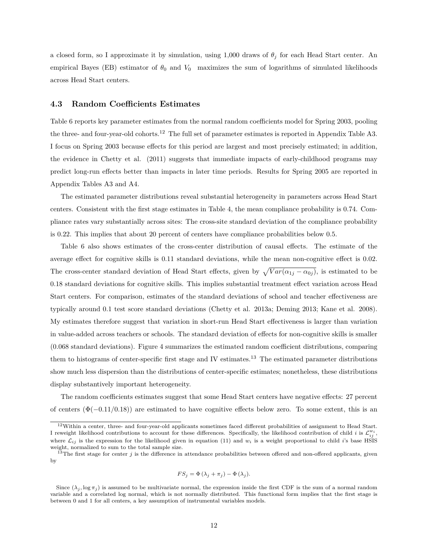a closed form, so I approximate it by simulation, using 1,000 draws of  $\theta_i$  for each Head Start center. An empirical Bayes (EB) estimator of  $\theta_0$  and  $V_0$  maximizes the sum of logarithms of simulated likelihoods across Head Start centers.

#### **4.3 Random Coefficients Estimates**

Table 6 reports key parameter estimates from the normal random coefficients model for Spring 2003, pooling the three- and four-year-old cohorts.<sup>12</sup> The full set of parameter estimates is reported in Appendix Table A3. I focus on Spring 2003 because effects for this period are largest and most precisely estimated; in addition, the evidence in Chetty et al. (2011) suggests that immediate impacts of early-childhood programs may predict long-run effects better than impacts in later time periods. Results for Spring 2005 are reported in Appendix Tables A3 and A4.

The estimated parameter distributions reveal substantial heterogeneity in parameters across Head Start centers. Consistent with the first stage estimates in Table 4, the mean compliance probability is 0.74. Compliance rates vary substantially across sites: The cross-site standard deviation of the compliance probability is 0.22. This implies that about 20 percent of centers have compliance probabilities below 0.5.

Table 6 also shows estimates of the cross-center distribution of causal effects. The estimate of the average effect for cognitive skills is 0.11 standard deviations, while the mean non-cognitive effect is 0.02. The cross-center standard deviation of Head Start effects, given by  $\sqrt{Var(\alpha_{1j} - \alpha_{0j})}$ , is estimated to be 0.18 standard deviations for cognitive skills. This implies substantial treatment effect variation across Head Start centers. For comparison, estimates of the standard deviations of school and teacher effectiveness are typically around 0.1 test score standard deviations (Chetty et al. 2013a; Deming 2013; Kane et al. 2008). My estimates therefore suggest that variation in short-run Head Start effectiveness is larger than variation in value-added across teachers or schools. The standard deviation of effects for non-cognitive skills is smaller (0*.*068 standard deviations). Figure 4 summarizes the estimated random coefficient distributions, comparing them to histograms of center-specific first stage and IV estimates.<sup>13</sup> The estimated parameter distributions show much less dispersion than the distributions of center-specific estimates; nonetheless, these distributions display substantively important heterogeneity.

The random coefficients estimates suggest that some Head Start centers have negative effects: 27 percent of centers  $(\Phi(-0.11/0.18))$  are estimated to have cognitive effects below zero. To some extent, this is an

$$
FS_j = \Phi(\lambda_j + \pi_j) - \Phi(\lambda_j).
$$

 $12$ Within a center, three- and four-year-old applicants sometimes faced different probabilities of assignment to Head Start. I reweight likelihood contributions to account for these differences. Specifically, the likelihood contribution of child *i* is  $\mathcal{L}_{ij}^{w_i}$ , where  $\mathcal{L}_{ij}$  is the expression for the likelihood given in equation (11) and  $w_i$  is a weight proportional to child *i*'s base HSIS weight, normalized to sum to the total sample size.

<sup>&</sup>lt;sup>13</sup>The first stage for center  $j$  is the difference in attendance probabilities between offered and non-offered applicants, given by

Since  $(\lambda_j, \log \pi_j)$  is assumed to be multivariate normal, the expression inside the first CDF is the sum of a normal random variable and a correlated log normal, which is not normally distributed. This functional form implies that the first stage is between 0 and 1 for all centers, a key assumption of instrumental variables models.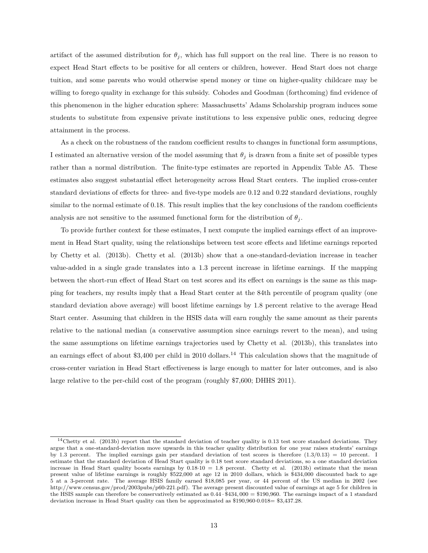artifact of the assumed distribution for  $\theta$ <sup>*j*</sup>, which has full support on the real line. There is no reason to expect Head Start effects to be positive for all centers or children, however. Head Start does not charge tuition, and some parents who would otherwise spend money or time on higher-quality childcare may be willing to forego quality in exchange for this subsidy. Cohodes and Goodman (forthcoming) find evidence of this phenomenon in the higher education sphere: Massachusetts' Adams Scholarship program induces some students to substitute from expensive private institutions to less expensive public ones, reducing degree attainment in the process.

As a check on the robustness of the random coefficient results to changes in functional form assumptions, I estimated an alternative version of the model assuming that  $\theta_i$  is drawn from a finite set of possible types rather than a normal distribution. The finite-type estimates are reported in Appendix Table A5. These estimates also suggest substantial effect heterogeneity across Head Start centers. The implied cross-center standard deviations of effects for three- and five-type models are 0.12 and 0.22 standard deviations, roughly similar to the normal estimate of 0.18. This result implies that the key conclusions of the random coefficients analysis are not sensitive to the assumed functional form for the distribution of  $\theta_j$ .

To provide further context for these estimates, I next compute the implied earnings effect of an improvement in Head Start quality, using the relationships between test score effects and lifetime earnings reported by Chetty et al. (2013b). Chetty et al. (2013b) show that a one-standard-deviation increase in teacher value-added in a single grade translates into a 1.3 percent increase in lifetime earnings. If the mapping between the short-run effect of Head Start on test scores and its effect on earnings is the same as this mapping for teachers, my results imply that a Head Start center at the 84th percentile of program quality (one standard deviation above average) will boost lifetime earnings by 1.8 percent relative to the average Head Start center. Assuming that children in the HSIS data will earn roughly the same amount as their parents relative to the national median (a conservative assumption since earnings revert to the mean), and using the same assumptions on lifetime earnings trajectories used by Chetty et al. (2013b), this translates into an earnings effect of about \$3,400 per child in 2010 dollars.<sup>14</sup> This calculation shows that the magnitude of cross-center variation in Head Start effectiveness is large enough to matter for later outcomes, and is also large relative to the per-child cost of the program (roughly \$7,600; DHHS 2011).

 $14$ Chetty et al. (2013b) report that the standard deviation of teacher quality is 0.13 test score standard deviations. They argue that a one-standard-deviation move upwards in this teacher quality distribution for one year raises students' earnings by 1.3 percent. The implied earnings gain per standard deviation of test scores is therefore  $(1.3/0.13) = 10$  percent. I estimate that the standard deviation of Head Start quality is 0.18 test score standard deviations, so a one standard deviation increase in Head Start quality boosts earnings by  $0.18 \cdot 10 = 1.8$  percent. Chetty et al. (2013b) estimate that the mean present value of lifetime earnings is roughly \$522,000 at age 12 in 2010 dollars, which is \$434,000 discounted back to age 5 at a 3-percent rate. The average HSIS family earned \$18,085 per year, or 44 percent of the US median in 2002 (see http://www.census.gov/prod/2003pubs/p60-221.pdf). The average present discounted value of earnings at age 5 for children in the HSIS sample can therefore be conservatively estimated as 0*.*44 · \$434*,* 000 = \$190,960. The earnings impact of a 1 standard deviation increase in Head Start quality can then be approximated as \$190,960·0*.*018= \$3,437.28.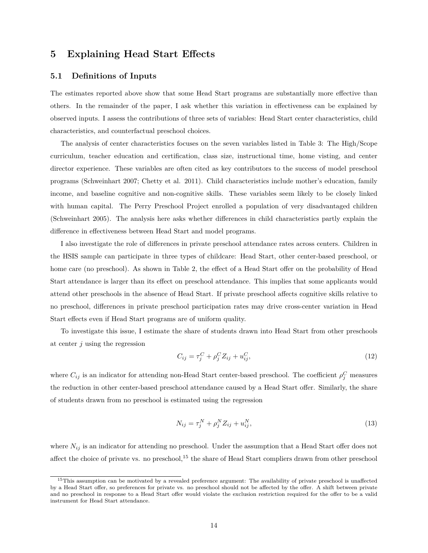# **5 Explaining Head Start Effects**

#### **5.1 Definitions of Inputs**

The estimates reported above show that some Head Start programs are substantially more effective than others. In the remainder of the paper, I ask whether this variation in effectiveness can be explained by observed inputs. I assess the contributions of three sets of variables: Head Start center characteristics, child characteristics, and counterfactual preschool choices.

The analysis of center characteristics focuses on the seven variables listed in Table 3: The High/Scope curriculum, teacher education and certification, class size, instructional time, home visting, and center director experience. These variables are often cited as key contributors to the success of model preschool programs (Schweinhart 2007; Chetty et al. 2011). Child characteristics include mother's education, family income, and baseline cognitive and non-cognitive skills. These variables seem likely to be closely linked with human capital. The Perry Preschool Project enrolled a population of very disadvantaged children (Schweinhart 2005). The analysis here asks whether differences in child characteristics partly explain the difference in effectiveness between Head Start and model programs.

I also investigate the role of differences in private preschool attendance rates across centers. Children in the HSIS sample can participate in three types of childcare: Head Start, other center-based preschool, or home care (no preschool). As shown in Table 2, the effect of a Head Start offer on the probability of Head Start attendance is larger than its effect on preschool attendance. This implies that some applicants would attend other preschools in the absence of Head Start. If private preschool affects cognitive skills relative to no preschool, differences in private preschool participation rates may drive cross-center variation in Head Start effects even if Head Start programs are of uniform quality.

To investigate this issue, I estimate the share of students drawn into Head Start from other preschools at center *j* using the regression

$$
C_{ij} = \tau_j^C + \rho_j^C Z_{ij} + u_{ij}^C,
$$
\n(12)

where  $C_{ij}$  is an indicator for attending non-Head Start center-based preschool. The coefficient  $\rho_j^C$  measures the reduction in other center-based preschool attendance caused by a Head Start offer. Similarly, the share of students drawn from no preschool is estimated using the regression

$$
N_{ij} = \tau_j^N + \rho_j^N Z_{ij} + u_{ij}^N,
$$
\n(13)

where  $N_{ij}$  is an indicator for attending no preschool. Under the assumption that a Head Start offer does not affect the choice of private vs. no preschool,<sup>15</sup> the share of Head Start compliers drawn from other preschool

<sup>&</sup>lt;sup>15</sup>This assumption can be motivated by a revealed preference argument: The availability of private preschool is unaffected by a Head Start offer, so preferences for private vs. no preschool should not be affected by the offer. A shift between private and no preschool in response to a Head Start offer would violate the exclusion restriction required for the offer to be a valid instrument for Head Start attendance.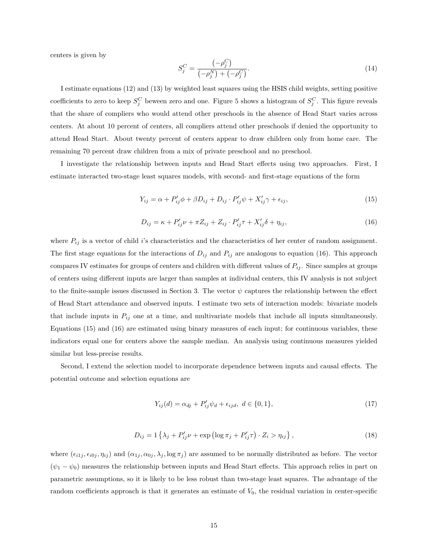centers is given by

$$
S_j^C = \frac{(-\rho_j^C)}{(-\rho_j^N) + (-\rho_j^C)}.
$$
\n(14)

I estimate equations (12) and (13) by weighted least squares using the HSIS child weights, setting positive coefficients to zero to keep  $S_j^C$  beween zero and one. Figure 5 shows a histogram of  $S_j^C$ . This figure reveals that the share of compliers who would attend other preschools in the absence of Head Start varies across centers. At about 10 percent of centers, all compliers attend other preschools if denied the opportunity to attend Head Start. About twenty percent of centers appear to draw children only from home care. The remaining 70 percent draw children from a mix of private preschool and no preschool.

I investigate the relationship between inputs and Head Start effects using two approaches. First, I estimate interacted two-stage least squares models, with second- and first-stage equations of the form

$$
Y_{ij} = \alpha + P'_{ij}\phi + \beta D_{ij} + D_{ij} \cdot P'_{ij}\psi + X'_{ij}\gamma + \epsilon_{ij},\tag{15}
$$

$$
D_{ij} = \kappa + P'_{ij}\nu + \pi Z_{ij} + Z_{ij} \cdot P'_{ij}\tau + X'_{ij}\delta + \eta_{ij},\tag{16}
$$

where  $P_{ij}$  is a vector of child *i*'s characteristics and the characteristics of her center of random assignment. The first stage equations for the interactions of  $D_{ij}$  and  $P_{ij}$  are analogous to equation (16). This approach compares IV estimates for groups of centers and children with different values of  $P_{ij}$ . Since samples at groups of centers using different inputs are larger than samples at individual centers, this IV analysis is not subject to the finite-sample issues discussed in Section 3. The vector  $\psi$  captures the relationship between the effect of Head Start attendance and observed inputs. I estimate two sets of interaction models: bivariate models that include inputs in  $P_{ij}$  one at a time, and multivariate models that include all inputs simultaneously. Equations (15) and (16) are estimated using binary measures of each input; for continuous variables, these indicators equal one for centers above the sample median. An analysis using continuous measures yielded similar but less-precise results.

Second, I extend the selection model to incorporate dependence between inputs and causal effects. The potential outcome and selection equations are

$$
Y_{ij}(d) = \alpha_{dj} + P'_{ij}\psi_d + \epsilon_{ijd}, \ d \in \{0, 1\},\tag{17}
$$

$$
D_{ij} = 1\left\{\lambda_j + P'_{ij}\nu + \exp\left(\log \pi_j + P'_{ij}\tau\right) \cdot Z_i > \eta_{ij}\right\},\tag{18}
$$

where  $(\epsilon_{i1j}, \epsilon_{i0j}, \eta_{ij})$  and  $(\alpha_{1j}, \alpha_{0j}, \lambda_j, \log \pi_j)$  are assumed to be normally distributed as before. The vector  $(\psi_1 - \psi_0)$  measures the relationship between inputs and Head Start effects. This approach relies in part on parametric assumptions, so it is likely to be less robust than two-stage least squares. The advantage of the random coefficients approach is that it generates an estimate of *V*0, the residual variation in center-specific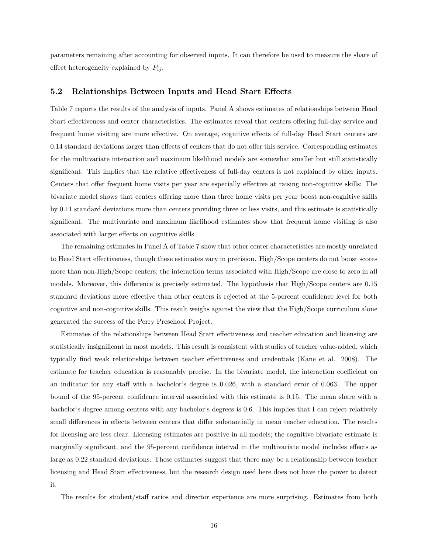parameters remaining after accounting for observed inputs. It can therefore be used to measure the share of effect heterogeneity explained by  $P_{ij}$ .

#### **5.2 Relationships Between Inputs and Head Start Effects**

Table 7 reports the results of the analysis of inputs. Panel A shows estimates of relationships between Head Start effectiveness and center characteristics. The estimates reveal that centers offering full-day service and frequent home visiting are more effective. On average, cognitive effects of full-day Head Start centers are 0.14 standard deviations larger than effects of centers that do not offer this service. Corresponding estimates for the multivariate interaction and maximum likelihood models are somewhat smaller but still statistically significant. This implies that the relative effectiveness of full-day centers is not explained by other inputs. Centers that offer frequent home visits per year are especially effective at raising non-cognitive skills: The bivariate model shows that centers offering more than three home visits per year boost non-cognitive skills by 0.11 standard deviations more than centers providing three or less visits, and this estimate is statistically significant. The multivariate and maximum likelihood estimates show that frequent home visiting is also associated with larger effects on cognitive skills.

The remaining estimates in Panel A of Table 7 show that other center characteristics are mostly unrelated to Head Start effectiveness, though these estimates vary in precision. High/Scope centers do not boost scores more than non-High/Scope centers; the interaction terms associated with High/Scope are close to zero in all models. Moreover, this difference is precisely estimated. The hypothesis that High/Scope centers are 0.15 standard deviations more effective than other centers is rejected at the 5-percent confidence level for both cognitive and non-cognitive skills. This result weighs against the view that the High/Scope curriculum alone generated the success of the Perry Preschool Project.

Estimates of the relationships between Head Start effectiveness and teacher education and licensing are statistically insignificant in most models. This result is consistent with studies of teacher value-added, which typically find weak relationships between teacher effectiveness and credentials (Kane et al. 2008). The estimate for teacher education is reasonably precise. In the bivariate model, the interaction coefficient on an indicator for any staff with a bachelor's degree is 0.026, with a standard error of 0.063. The upper bound of the 95-percent confidence interval associated with this estimate is 0.15. The mean share with a bachelor's degree among centers with any bachelor's degrees is 0.6. This implies that I can reject relatively small differences in effects between centers that differ substantially in mean teacher education. The results for licensing are less clear. Licensing estimates are positive in all models; the cognitive bivariate estimate is marginally significant, and the 95-percent confidence interval in the multivariate model includes effects as large as 0.22 standard deviations. These estimates suggest that there may be a relationship between teacher licensing and Head Start effectiveness, but the research design used here does not have the power to detect it.

The results for student/staff ratios and director experience are more surprising. Estimates from both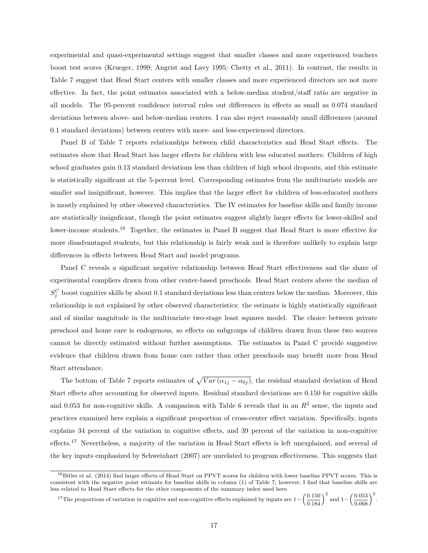experimental and quasi-experimental settings suggest that smaller classes and more experienced teachers boost test scores (Krueger, 1999; Angrist and Lavy 1995; Chetty et al., 2011). In contrast, the results in Table 7 suggest that Head Start centers with smaller classes and more experienced directors are not more effective. In fact, the point estimates associated with a below-median student/staff ratio are negative in all models. The 95-percent confidence interval rules out differences in effects as small as 0.074 standard deviations between above- and below-median centers. I can also reject reasonably small differences (around 0.1 standard deviations) between centers with more- and less-experienced directors.

Panel B of Table 7 reports relationships between child characteristics and Head Start effects. The estimates show that Head Start has larger effects for children with less educated mothers: Children of high school graduates gain 0.13 standard deviations less than children of high school dropouts, and this estimate is statistically significant at the 5-percent level. Corresponding estimates from the multivariate models are smaller and insignificant, however. This implies that the larger effect for children of less-educated mothers is mostly explained by other observed characteristics. The IV estimates for baseline skills and family income are statistically insignficant, though the point estimates suggest slightly larger effects for lower-skilled and lower-income students.<sup>16</sup> Together, the estimates in Panel B suggest that Head Start is more effective for more disadvantaged students, but this relationship is fairly weak and is therefore unlikely to explain large differences in effects between Head Start and model programs.

Panel C reveals a significant negative relationship between Head Start effectiveness and the share of experimental compliers drawn from other center-based preschools. Head Start centers above the median of  $S_j^C$  boost cognitive skills by about 0.1 standard deviations less than centers below the median. Moreover, this relationship is not explained by other observed characteristics: the estimate is highly statistically significant and of similar magnitude in the multivariate two-stage least squares model. The choice between private preschool and home care is endogenous, so effects on subgroups of children drawn from these two sources cannot be directly estimated without further assumptions. The estimates in Panel C provide suggestive evidence that children drawn from home care rather than other preschools may benefit more from Head Start attendance.

The bottom of Table 7 reports estimates of  $\sqrt{Var(\alpha_{1j} - \alpha_{0j})}$ , the residual standard deviation of Head Start effects after accounting for observed inputs. Residual standard deviations are 0.150 for cognitive skills and 0.053 for non-cognitive skills. A comparison with Table 6 reveals that in an  $R^2$  sense, the inputs and practices examined here explain a significant proportion of cross-center effect variation. Specifically, inputs explains 34 percent of the variation in cognitive effects, and 39 percent of the variation in non-cognitive effects.<sup>17</sup> Nevertheless, a majority of the variation in Head Start effects is left unexplained, and several of the key inputs emphasized by Schweinhart (2007) are unrelated to program effectiveness. This suggests that

<sup>17</sup>The proportions of variation in cognitive and non-cognitive effects explained by inputs are  $1-\left(\frac{0.150}{0.184}\right)^2$  and  $1-\left(\frac{0.053}{0.068}\right)^2$ .

 $^{16}$ Bitler et al. (2014) find larger effects of Head Start on PPVT scores for children with lower baseline PPVT scores. This is consistent with the negative point estimate for baseline skills in column (1) of Table 7; however, I find that baseline skills are less related to Head Start effects for the other components of the summary index used here.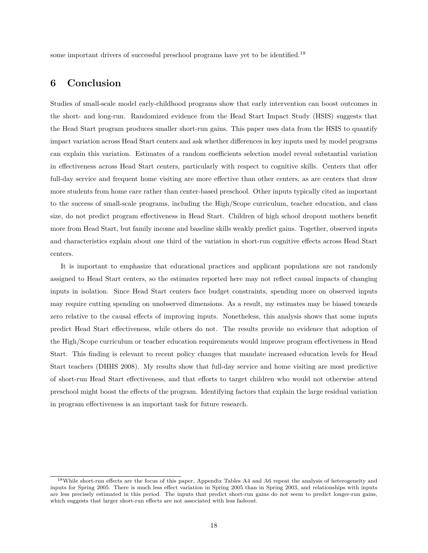some important drivers of successful preschool programs have yet to be identified.<sup>18</sup>

# **6 Conclusion**

Studies of small-scale model early-childhood programs show that early intervention can boost outcomes in the short- and long-run. Randomized evidence from the Head Start Impact Study (HSIS) suggests that the Head Start program produces smaller short-run gains. This paper uses data from the HSIS to quantify impact variation across Head Start centers and ask whether differences in key inputs used by model programs can explain this variation. Estimates of a random coefficients selection model reveal substantial variation in effectiveness across Head Start centers, particularly with respect to cognitive skills. Centers that offer full-day service and frequent home visiting are more effective than other centers, as are centers that draw more students from home care rather than center-based preschool. Other inputs typically cited as important to the success of small-scale programs, including the High/Scope curriculum, teacher education, and class size, do not predict program effectiveness in Head Start. Children of high school dropout mothers benefit more from Head Start, but family income and baseline skills weakly predict gains. Together, observed inputs and characteristics explain about one third of the variation in short-run cognitive effects across Head Start centers.

It is important to emphasize that educational practices and applicant populations are not randomly assigned to Head Start centers, so the estimates reported here may not reflect causal impacts of changing inputs in isolation. Since Head Start centers face budget constraints, spending more on observed inputs may require cutting spending on unobserved dimensions. As a result, my estimates may be biased towards zero relative to the causal effects of improving inputs. Nonetheless, this analysis shows that some inputs predict Head Start effectiveness, while others do not. The results provide no evidence that adoption of the High/Scope curriculum or teacher education requirements would improve program effectiveness in Head Start. This finding is relevant to recent policy changes that mandate increased education levels for Head Start teachers (DHHS 2008). My results show that full-day service and home visiting are most predictive of short-run Head Start effectiveness, and that efforts to target children who would not otherwise attend preschool might boost the effects of the program. Identifying factors that explain the large residual variation in program effectiveness is an important task for future research.

<sup>&</sup>lt;sup>18</sup>While short-run effects are the focus of this paper, Appendix Tables A4 and A6 repeat the analysis of heterogeneity and inputs for Spring 2005. There is much less effect variation in Spring 2005 than in Spring 2003, and relationships with inputs are less precisely estimated in this period. The inputs that predict short-run gains do not seem to predict longer-run gains, which suggests that larger short-run effects are not associated with less fadeout.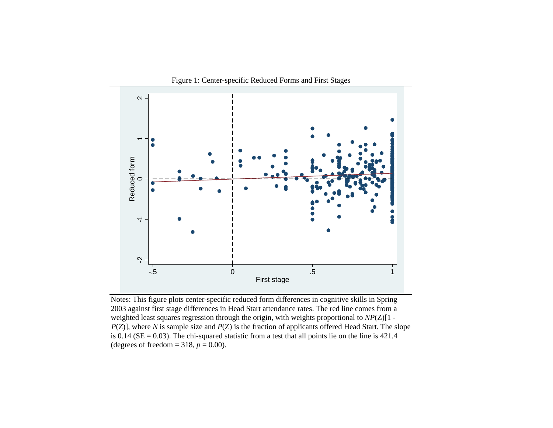

Figure 1: Center-specific Reduced Forms and First Stages

Notes: This figure plots center-specific reduced form differences in cognitive skills in Spring 2003 against first stage differences in Head Start attendance rates. The red line comes from a weighted least squares regression through the origin, with weights proportional to *NP*(Z)[1 - *P*(*Z*)], where *N* is sample size and *P*(*Z*) is the fraction of applicants offered Head Start. The slope is 0.14 ( $SE = 0.03$ ). The chi-squared statistic from a test that all points lie on the line is 421.4 (degrees of freedom =  $318$ ,  $p = 0.00$ ).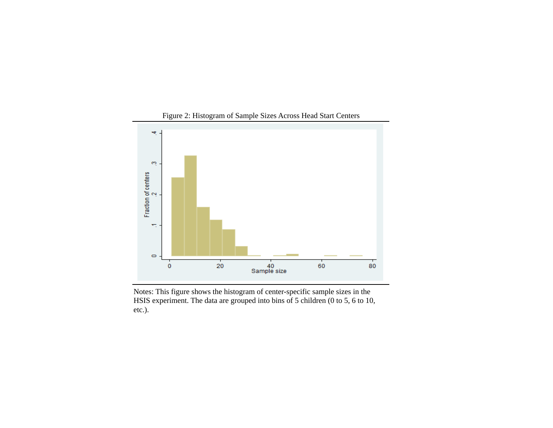

Notes: This figure shows the histogram of center-specific sample sizes in the HSIS experiment. The data are grouped into bins of 5 children (0 to 5, 6 to 10, etc.).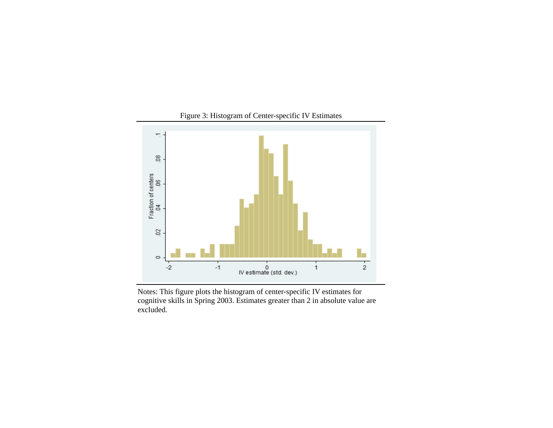

Notes: This figure plots the histogram of center-specific IV estimates for cognitive skills in Spring 2003. Estimates greater than 2 in absolute value are excluded.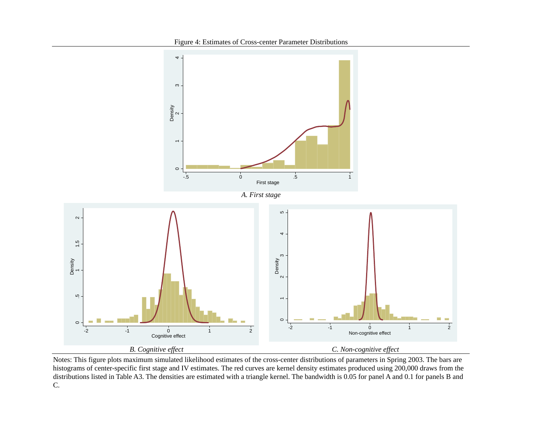

Notes: This figure plots maximum simulated likelihood estimates of the cross-center distributions of parameters in Spring 2003. The bars are histograms of center-specific first stage and IV estimates. The red curves are kernel density estimates produced using 200,000 draws from the distributions listed in Table A3. The densities are estimated with a triangle kernel. The bandwidth is 0.05 for panel A and 0.1 for panels B and C.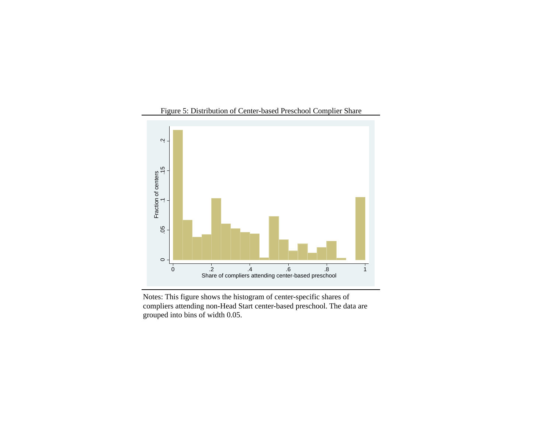

Notes: This figure shows the histogram of center-specific shares of compliers attending non-Head Start center-based preschool. The data are grouped into bins of width 0.05.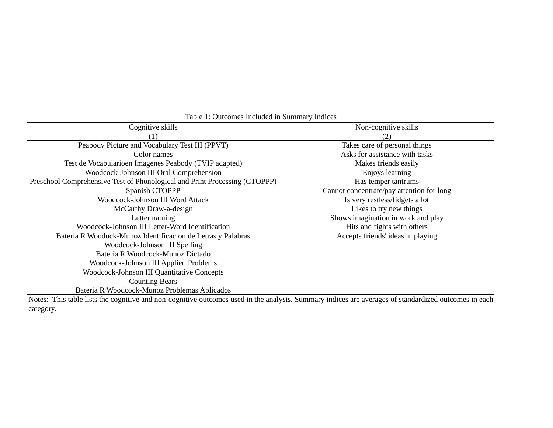| Cognitive skills                                                                                                                                     | Non-cognitive skills                      |
|------------------------------------------------------------------------------------------------------------------------------------------------------|-------------------------------------------|
| $\left(1\right)$                                                                                                                                     | (2)                                       |
| Peabody Picture and Vocabulary Test III (PPVT)                                                                                                       | Takes care of personal things             |
| Color names                                                                                                                                          | Asks for assistance with tasks            |
| Test de Vocabularioen Imagenes Peabody (TVIP adapted)                                                                                                | Makes friends easily                      |
| Woodcock-Johnson III Oral Comprehension                                                                                                              | Enjoys learning                           |
| Preschool Comprehensive Test of Phonological and Print Processing (CTOPPP)                                                                           | Has temper tantrums                       |
| Spanish CTOPPP                                                                                                                                       | Cannot concentrate/pay attention for long |
| Woodcock-Johnson III Word Attack                                                                                                                     | Is very restless/fidgets a lot            |
| McCarthy Draw-a-design                                                                                                                               | Likes to try new things                   |
| Letter naming                                                                                                                                        | Shows imagination in work and play        |
| Woodcock-Johnson III Letter-Word Identification                                                                                                      | Hits and fights with others               |
| Bateria R Woodock-Munoz Identificacion de Letras y Palabras                                                                                          | Accepts friends' ideas in playing         |
| Woodcock-Johnson III Spelling                                                                                                                        |                                           |
| Bateria R Woodcock-Munoz Dictado                                                                                                                     |                                           |
| Woodcock-Johnson III Applied Problems                                                                                                                |                                           |
| Woodcock-Johnson III Quantitative Concepts                                                                                                           |                                           |
| <b>Counting Bears</b>                                                                                                                                |                                           |
| Bateria R Woodcock-Munoz Problemas Aplicados                                                                                                         |                                           |
| Notes: This table lists the cognitive and non-cognitive outcomes used in the analysis. Summary indices are averages of standardized outcomes in each |                                           |

category.

Table 1: Outcomes Included in Summary Indices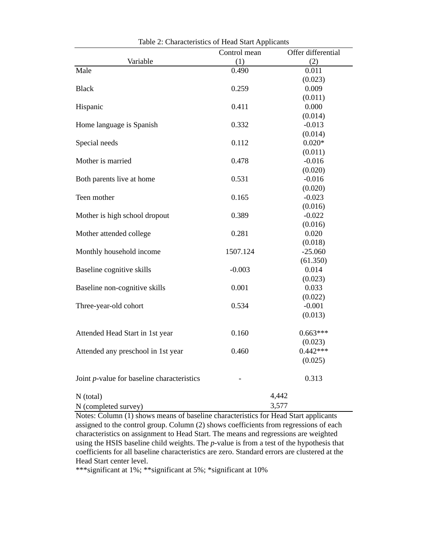|                                                    | Control mean | Offer differential |
|----------------------------------------------------|--------------|--------------------|
| Variable                                           | (1)          | (2)                |
| Male                                               | 0.490        | 0.011              |
|                                                    |              | (0.023)            |
| <b>Black</b>                                       | 0.259        | 0.009              |
|                                                    |              | (0.011)            |
| Hispanic                                           | 0.411        | 0.000              |
|                                                    |              | (0.014)            |
| Home language is Spanish                           | 0.332        | $-0.013$           |
|                                                    |              | (0.014)            |
| Special needs                                      | 0.112        | $0.020*$           |
|                                                    |              | (0.011)            |
| Mother is married                                  | 0.478        | $-0.016$           |
|                                                    |              | (0.020)            |
| Both parents live at home                          | 0.531        | $-0.016$           |
|                                                    |              | (0.020)            |
| Teen mother                                        | 0.165        | $-0.023$           |
|                                                    |              | (0.016)            |
| Mother is high school dropout                      | 0.389        | $-0.022$           |
|                                                    |              | (0.016)            |
| Mother attended college                            | 0.281        | 0.020              |
|                                                    |              | (0.018)            |
| Monthly household income                           | 1507.124     | $-25.060$          |
|                                                    |              | (61.350)           |
| Baseline cognitive skills                          | $-0.003$     | 0.014              |
|                                                    |              | (0.023)            |
| Baseline non-cognitive skills                      | 0.001        | 0.033              |
|                                                    |              | (0.022)            |
| Three-year-old cohort                              | 0.534        | $-0.001$           |
|                                                    |              | (0.013)            |
| Attended Head Start in 1st year                    | 0.160        | $0.663***$         |
|                                                    |              | (0.023)            |
| Attended any preschool in 1st year                 | 0.460        | $0.442***$         |
|                                                    |              | (0.025)            |
|                                                    |              |                    |
| Joint <i>p</i> -value for baseline characteristics |              | 0.313              |
| $N$ (total)                                        |              | 4,442              |
| N (completed survey)                               |              | 3,577              |
|                                                    |              |                    |

Table 2: Characteristics of Head Start Applicants

Notes: Column (1) shows means of baseline characteristics for Head Start applicants assigned to the control group. Column (2) shows coefficients from regressions of each characteristics on assignment to Head Start. The means and regressions are weighted using the HSIS baseline child weights. The *p*-value is from a test of the hypothesis that coefficients for all baseline characteristics are zero. Standard errors are clustered at the Head Start center level.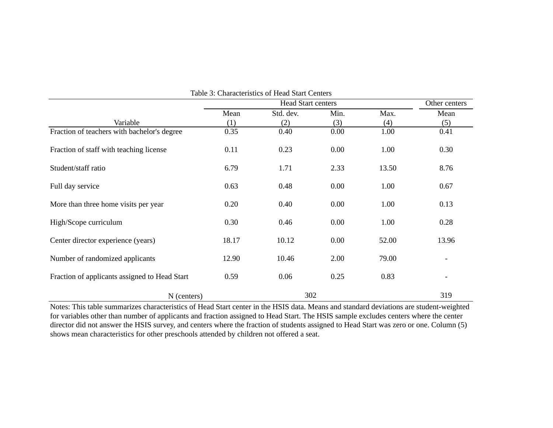|                                               |       | Other centers |      |       |                |
|-----------------------------------------------|-------|---------------|------|-------|----------------|
|                                               | Mean  | Std. dev.     | Min. | Max.  | Mean           |
| Variable                                      | (1)   | (2)           | (3)  | (4)   | (5)            |
| Fraction of teachers with bachelor's degree   | 0.35  | 0.40          | 0.00 | 1.00  | 0.41           |
| Fraction of staff with teaching license       | 0.11  | 0.23          | 0.00 | 1.00  | 0.30           |
| Student/staff ratio                           | 6.79  | 1.71          | 2.33 | 13.50 | 8.76           |
| Full day service                              | 0.63  | 0.48          | 0.00 | 1.00  | 0.67           |
| More than three home visits per year          | 0.20  | 0.40          | 0.00 | 1.00  | 0.13           |
| High/Scope curriculum                         | 0.30  | 0.46          | 0.00 | 1.00  | 0.28           |
| Center director experience (years)            | 18.17 | 10.12         | 0.00 | 52.00 | 13.96          |
| Number of randomized applicants               | 12.90 | 10.46         | 2.00 | 79.00 |                |
| Fraction of applicants assigned to Head Start | 0.59  | 0.06          | 0.25 | 0.83  | $\overline{a}$ |
| N (centers)                                   |       | 302           |      |       | 319            |

Table 3: Characteristics of Head Start Centers

Notes: This table summarizes characteristics of Head Start center in the HSIS data. Means and standard deviations are student-weighted for variables other than number of applicants and fraction assigned to Head Start. The HSIS sample excludes centers where the center director did not answer the HSIS survey, and centers where the fraction of students assigned to Head Start was zero or one. Column (5) shows mean characteristics for other preschools attended by children not offered a seat.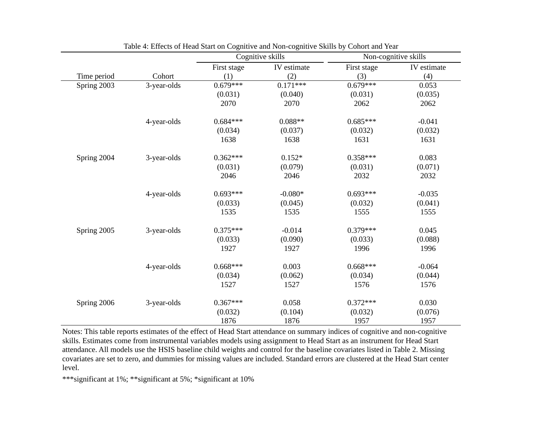|             |             | Cognitive skills |                       |             | Non-cognitive skills |  |
|-------------|-------------|------------------|-----------------------|-------------|----------------------|--|
|             |             | First stage      | IV estimate           | First stage | IV estimate          |  |
| Time period | Cohort      | (1)              | (2)                   | (3)         | (4)                  |  |
| Spring 2003 | 3-year-olds | $0.679***$       | $0.\overline{171***}$ | $0.679***$  | 0.053                |  |
|             |             | (0.031)          | (0.040)               | (0.031)     | (0.035)              |  |
|             |             | 2070             | 2070                  | 2062        | 2062                 |  |
|             | 4-year-olds | $0.684***$       | $0.088**$             | $0.685***$  | $-0.041$             |  |
|             |             | (0.034)          | (0.037)               | (0.032)     | (0.032)              |  |
|             |             | 1638             | 1638                  | 1631        | 1631                 |  |
| Spring 2004 | 3-year-olds | $0.362***$       | $0.152*$              | $0.358***$  | 0.083                |  |
|             |             | (0.031)          | (0.079)               | (0.031)     | (0.071)              |  |
|             |             | 2046             | 2046                  | 2032        | 2032                 |  |
|             | 4-year-olds | $0.693***$       | $-0.080*$             | $0.693***$  | $-0.035$             |  |
|             |             | (0.033)          | (0.045)               | (0.032)     | (0.041)              |  |
|             |             | 1535             | 1535                  | 1555        | 1555                 |  |
| Spring 2005 | 3-year-olds | $0.375***$       | $-0.014$              | $0.379***$  | 0.045                |  |
|             |             | (0.033)          | (0.090)               | (0.033)     | (0.088)              |  |
|             |             | 1927             | 1927                  | 1996        | 1996                 |  |
|             | 4-year-olds | $0.668***$       | 0.003                 | $0.668***$  | $-0.064$             |  |
|             |             | (0.034)          | (0.062)               | (0.034)     | (0.044)              |  |
|             |             | 1527             | 1527                  | 1576        | 1576                 |  |
| Spring 2006 | 3-year-olds | $0.367***$       | 0.058                 | $0.372***$  | 0.030                |  |
|             |             | (0.032)          | (0.104)               | (0.032)     | (0.076)              |  |
|             |             | 1876             | 1876                  | 1957        | 1957                 |  |

Table 4: Effects of Head Start on Cognitive and Non-cognitive Skills by Cohort and Year

Notes: This table reports estimates of the effect of Head Start attendance on summary indices of cognitive and non-cognitive skills. Estimates come from instrumental variables models using assignment to Head Start as an instrument for Head Start attendance. All models use the HSIS baseline child weights and control for the baseline covariates listed in Table 2. Missing covariates are set to zero, and dummies for missing values are included. Standard errors are clustered at the Head Start center level.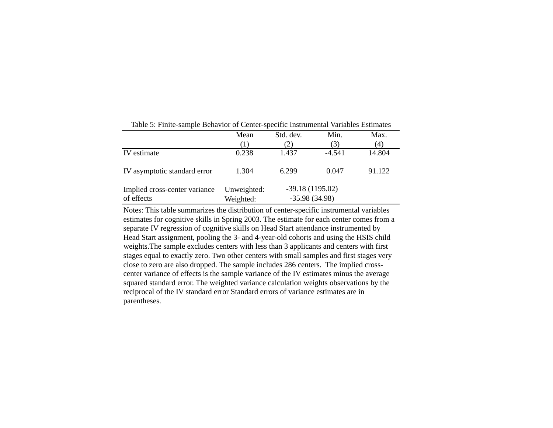|                                             | Mean                     | Std. dev. | Min.                                 | Max.   |
|---------------------------------------------|--------------------------|-----------|--------------------------------------|--------|
|                                             | (1)                      | 2)        | (3)                                  | (4)    |
| IV estimate                                 | 0.238                    | 1.437     | $-4.541$                             | 14.804 |
| IV asymptotic standard error                | 1.304                    | 6.299     | 0.047                                | 91.122 |
| Implied cross-center variance<br>of effects | Unweighted:<br>Weighted: |           | $-39.18(1195.02)$<br>$-35.98(34.98)$ |        |

Table 5: Finite-sample Behavior of Center-specific Instrumental Variables Estimates

Notes: This table summarizes the distribution of center-specific instrumental variables estimates for cognitive skills in Spring 2003. The estimate for each center comes from a separate IV regression of cognitive skills on Head Start attendance instrumented by Head Start assignment, pooling the 3- and 4-year-old cohorts and using the HSIS child weights.The sample excludes centers with less than 3 applicants and centers with first stages equal to exactly zero. Two other centers with small samples and first stages very close to zero are also dropped. The sample includes 286 centers. The implied crosscenter variance of effects is the sample variance of the IV estimates minus the average squared standard error. The weighted variance calculation weights observations by the reciprocal of the IV standard error Standard errors of variance estimates are in parentheses.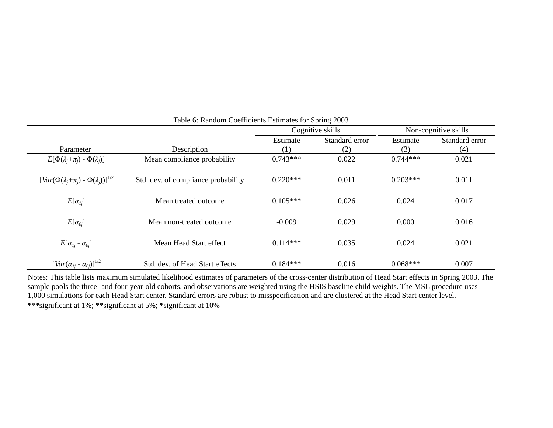|                                                                 |                                     |            | Cognitive skills | Non-cognitive skills |                |
|-----------------------------------------------------------------|-------------------------------------|------------|------------------|----------------------|----------------|
|                                                                 |                                     | Estimate   | Standard error   | Estimate             | Standard error |
| Parameter                                                       | Description                         | (1)        | (2)              | (3)                  | (4)            |
| $E[\Phi(\lambda_i+\pi_i)-\Phi(\lambda_i)]$                      | Mean compliance probability         | $0.743***$ | 0.022            | $0.744***$           | 0.021          |
| $\left[Var(\Phi(\lambda_i+\pi_i)-\Phi(\lambda_i))\right]^{1/2}$ | Std. dev. of compliance probability | $0.220***$ | 0.011            | $0.203***$           | 0.011          |
| $E[\alpha_{Ii}]$                                                | Mean treated outcome                | $0.105***$ | 0.026            | 0.024                | 0.017          |
| $E[\alpha_{0i}]$                                                | Mean non-treated outcome            | $-0.009$   | 0.029            | 0.000                | 0.016          |
| $E[\alpha_{1i} - \alpha_{0i}]$                                  | Mean Head Start effect              | $0.114***$ | 0.035            | 0.024                | 0.021          |
| $[Var(\alpha_{1i} - \alpha_{0i})]^{1/2}$                        | Std. dev. of Head Start effects     | $0.184***$ | 0.016            | $0.068***$           | 0.007          |

# Table 6: Random Coefficients Estimates for Spring 2003

Notes: This table lists maximum simulated likelihood estimates of parameters of the cross-center distribution of Head Start effects in Spring 2003. The sample pools the three- and four-year-old cohorts, and observations are weighted using the HSIS baseline child weights. The MSL procedure uses 1,000 simulations for each Head Start center. Standard errors are robust to misspecification and are clustered at the Head Start center level. \*\*\*significant at 1%; \*\*significant at 5%; \*significant at 10%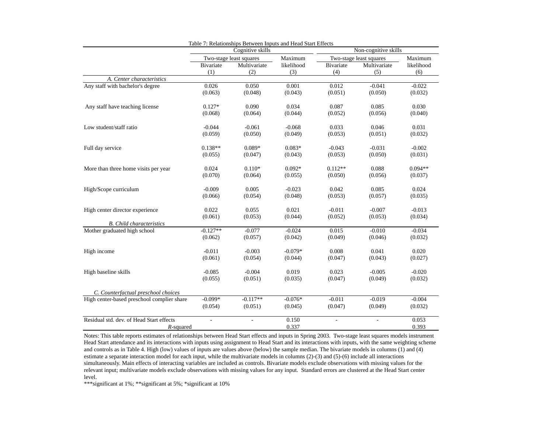|                                            |                          | Table 7: Relationships Between Inputs and Head Start Effects |            |                          |                          |            |  |
|--------------------------------------------|--------------------------|--------------------------------------------------------------|------------|--------------------------|--------------------------|------------|--|
|                                            |                          | Cognitive skills                                             |            |                          | Non-cognitive skills     |            |  |
|                                            |                          | Two-stage least squares                                      | Maximum    |                          | Two-stage least squares  | Maximum    |  |
|                                            | Bivariate                | Multivariate                                                 | likelihood | Bivariate                | Multivariate             | likelihood |  |
|                                            | (1)                      | (2)                                                          | (3)        | (4)                      | (5)                      | (6)        |  |
| A. Center characteristics                  |                          |                                                              |            |                          |                          |            |  |
| Any staff with bachelor's degree           | 0.026                    | 0.050                                                        | 0.001      | 0.012                    | $-0.041$                 | $-0.022$   |  |
|                                            | (0.063)                  | (0.048)                                                      | (0.043)    | (0.051)                  | (0.050)                  | (0.032)    |  |
| Any staff have teaching license            | $0.127*$                 | 0.090                                                        | 0.034      | 0.087                    | 0.085                    | 0.030      |  |
|                                            | (0.068)                  | (0.064)                                                      | (0.044)    | (0.052)                  | (0.056)                  | (0.040)    |  |
| Low student/staff ratio                    | $-0.044$                 | $-0.061$                                                     | $-0.068$   | 0.033                    | 0.046                    | 0.031      |  |
|                                            | (0.059)                  | (0.050)                                                      | (0.049)    | (0.053)                  | (0.051)                  | (0.032)    |  |
| Full day service                           | $0.138**$                | $0.089*$                                                     | $0.083*$   | $-0.043$                 | $-0.031$                 | $-0.002$   |  |
|                                            | (0.055)                  | (0.047)                                                      | (0.043)    | (0.053)                  | (0.050)                  | (0.031)    |  |
| More than three home visits per year       | 0.024                    | $0.110*$                                                     | $0.092*$   | $0.112**$                | 0.088                    | $0.094**$  |  |
|                                            | (0.070)                  | (0.064)                                                      | (0.055)    | (0.050)                  | (0.056)                  | (0.037)    |  |
|                                            | $-0.009$                 | 0.005                                                        | $-0.023$   | 0.042                    | 0.085                    | 0.024      |  |
| High/Scope curriculum                      | (0.066)                  | (0.054)                                                      | (0.048)    | (0.053)                  | (0.057)                  | (0.035)    |  |
| High center director experience            | 0.022                    | 0.055                                                        | 0.021      | $-0.011$                 | $-0.007$                 | $-0.013$   |  |
|                                            | (0.061)                  | (0.053)                                                      | (0.044)    | (0.052)                  | (0.053)                  | (0.034)    |  |
| <b>B.</b> Child characteristics            |                          |                                                              |            |                          |                          |            |  |
| Mother graduated high school               | $-0.127**$               | $-0.077$                                                     | $-0.024$   | 0.015                    | $-0.010$                 | $-0.034$   |  |
|                                            | (0.062)                  | (0.057)                                                      | (0.042)    | (0.049)                  | (0.046)                  | (0.032)    |  |
| High income                                | $-0.011$                 | $-0.003$                                                     | $-0.079*$  | 0.008                    | 0.041                    | 0.020      |  |
|                                            | (0.061)                  | (0.054)                                                      | (0.044)    | (0.047)                  | (0.043)                  | (0.027)    |  |
| High baseline skills                       | $-0.085$                 | $-0.004$                                                     | 0.019      | 0.023                    | $-0.005$                 | $-0.020$   |  |
|                                            | (0.055)                  | (0.051)                                                      | (0.035)    | (0.047)                  | (0.049)                  | (0.032)    |  |
| C. Counterfactual preschool choices        |                          |                                                              |            |                          |                          |            |  |
| High center-based preschool complier share | $-0.099*$                | $-0.117**$                                                   | $-0.076*$  | $-0.011$                 | $-0.019$                 | $-0.004$   |  |
|                                            | (0.054)                  | (0.051)                                                      | (0.045)    | (0.047)                  | (0.049)                  | (0.032)    |  |
| Residual std. dev. of Head Start effects   | $\overline{\phantom{a}}$ | $\overline{\phantom{a}}$                                     | 0.150      | $\overline{\phantom{a}}$ | $\overline{\phantom{a}}$ | 0.053      |  |
| $R$ -squared                               |                          |                                                              | 0.337      |                          |                          | 0.393      |  |

Notes: This table reports estimates of relationships between Head Start effects and inputs in Spring 2003. Two-stage least squares models instrument Head Start attendance and its interactions with inputs using assignment to Head Start and its interactions with inputs, with the same weighting scheme and controls as in Table 4. High (low) values of inputs are values above (below) the sample median. The bivariate models in columns (1) and (4) estimate a separate interaction model for each input, while the multivariate models in columns (2)-(3) and (5)-(6) include all interactions simultaneously. Main effects of interacting variables are included as controls. Bivariate models exclude observations with missing values for the relevant input; multivariate models exclude observations with missing values for any input. Standard errors are clustered at the Head Start center level.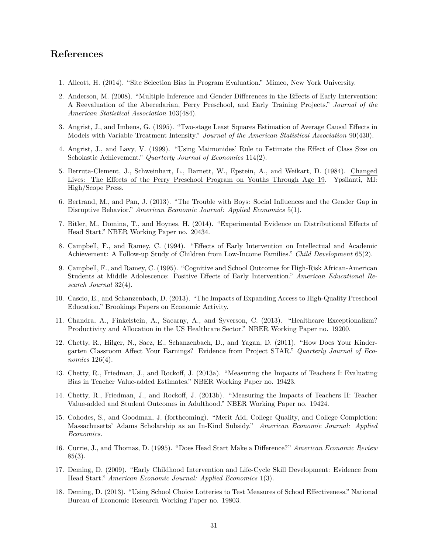# **References**

- 1. Allcott, H. (2014). "Site Selection Bias in Program Evaluation." Mimeo, New York University.
- 2. Anderson, M. (2008). "Multiple Inference and Gender Differences in the Effects of Early Intervention: A Reevaluation of the Abecedarian, Perry Preschool, and Early Training Projects." *Journal of the American Statistical Association* 103(484).
- 3. Angrist, J., and Imbens, G. (1995). "Two-stage Least Squares Estimation of Average Causal Effects in Models with Variable Treatment Intensity." *Journal of the American Statistical Association* 90(430).
- 4. Angrist, J., and Lavy, V. (1999). "Using Maimonides' Rule to Estimate the Effect of Class Size on Scholastic Achievement." *Quarterly Journal of Economics* 114(2).
- 5. Berruta-Clement, J., Schweinhart, L., Barnett, W., Epstein, A., and Weikart, D. (1984). Changed Lives: The Effects of the Perry Preschool Program on Youths Through Age 19. Ypsilanti, MI: High/Scope Press.
- 6. Bertrand, M., and Pan, J. (2013). "The Trouble with Boys: Social Influences and the Gender Gap in Disruptive Behavior." *American Economic Journal: Applied Economics* 5(1).
- 7. Bitler, M., Domina, T., and Hoynes, H. (2014). "Experimental Evidence on Distributional Effects of Head Start." NBER Working Paper no. 20434.
- 8. Campbell, F., and Ramey, C. (1994). "Effects of Early Intervention on Intellectual and Academic Achievement: A Follow-up Study of Children from Low-Income Families." *Child Development* 65(2).
- 9. Campbell, F., and Ramey, C. (1995). "Cognitive and School Outcomes for High-Risk African-American Students at Middle Adolescence: Positive Effects of Early Intervention." *American Educational Research Journal* 32(4).
- 10. Cascio, E., and Schanzenbach, D. (2013). "The Impacts of Expanding Access to High-Quality Preschool Education." Brookings Papers on Economic Activity.
- 11. Chandra, A., Finkelstein, A., Sacarny, A., and Syverson, C. (2013). "Healthcare Exceptionalizm? Productivity and Allocation in the US Healthcare Sector." NBER Working Paper no. 19200.
- 12. Chetty, R., Hilger, N., Saez, E., Schanzenbach, D., and Yagan, D. (2011). "How Does Your Kindergarten Classroom Affect Your Earnings? Evidence from Project STAR." *Quarterly Journal of Economics* 126(4).
- 13. Chetty, R., Friedman, J., and Rockoff, J. (2013a). "Measuring the Impacts of Teachers I: Evaluating Bias in Teacher Value-added Estimates." NBER Working Paper no. 19423.
- 14. Chetty, R., Friedman, J., and Rockoff, J. (2013b). "Measuring the Impacts of Teachers II: Teacher Value-added and Student Outcomes in Adulthood." NBER Working Paper no. 19424.
- 15. Cohodes, S., and Goodman, J. (forthcoming). "Merit Aid, College Quality, and College Completion: Massachusetts' Adams Scholarship as an In-Kind Subsidy." *American Economic Journal: Applied Economics.*
- 16. Currie, J., and Thomas, D. (1995). "Does Head Start Make a Difference?" *American Economic Review*  $85(3)$ .
- 17. Deming, D. (2009). "Early Childhood Intervention and Life-Cycle Skill Development: Evidence from Head Start." *American Economic Journal: Applied Economics* 1(3).
- 18. Deming, D. (2013). "Using School Choice Lotteries to Test Measures of School Effectiveness." National Bureau of Economic Research Working Paper no. 19803.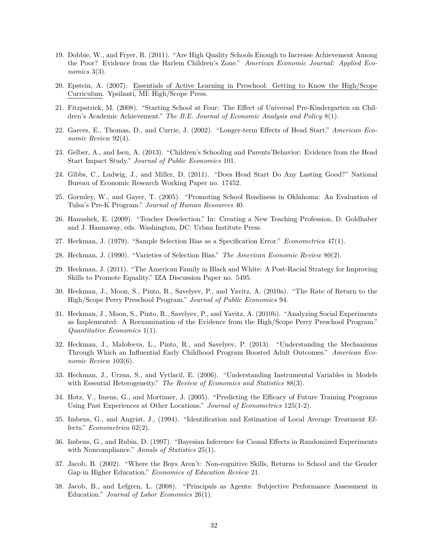- 19. Dobbie, W., and Fryer, R. (2011). "Are High Quality Schools Enough to Increase Achievement Among the Poor? Evidence from the Harlem Children's Zone." *American Economic Journal: Applied Economics* 3(3).
- 20. Epstein, A. (2007). Essentials of Active Learning in Preschool: Getting to Know the High/Scope Curriculum. Ypsilanti, MI: High/Scope Press.
- 21. Fitzpatrick, M. (2008). "Starting School at Four: The Effect of Universal Pre-Kindergarten on Children's Academic Achievement." *The B.E. Journal of Economic Analysis and Policy* 8(1).
- 22. Garces, E., Thomas, D., and Currie, J. (2002). "Longer-term Effects of Head Start." *American Economic Review* 92(4).
- 23. Gelber, A., and Isen, A. (2013). "Children's Schooling and Parents'Behavior: Evidence from the Head Start Impact Study." *Journal of Public Economics* 101.
- 24. Gibbs, C., Ludwig, J., and Miller, D. (2011). "Does Head Start Do Any Lasting Good?" National Bureau of Economic Research Working Paper no. 17452.
- 25. Gormley, W., and Gayer, T. (2005). "Promoting School Readiness in Oklahoma: An Evaluation of Tulsa's Pre-K Program." *Journal of Human Resources* 40.
- 26. Hanushek, E. (2009). "Teacher Deselection." In: Creating a New Teaching Profession, D. Goldhaber and J. Hannaway, eds. Washington, DC: Urban Institute Press.
- 27. Heckman, J. (1979). "Sample Selection Bias as a Specification Error." *Econometrica* 47(1).
- 28. Heckman, J. (1990). "Varieties of Selection Bias." *The American Economic Review* 80(2).
- 29. Heckman, J. (2011). "The American Family in Black and White: A Post-Racial Strategy for Improving Skills to Promote Equality." IZA Discussion Paper no. 5495.
- 30. Heckman, J., Moon, S., Pinto, R., Savelyev, P., and Yavitz, A. (2010a). "The Rate of Return to the High/Scope Perry Preschool Program." *Journal of Public Economics* 94.
- 31. Heckman, J., Moon, S., Pinto, R., Savelyev, P., and Yavitz, A. (2010b). "Analyzing Social Experiments as Implemented: A Reexamination of the Evidence from the High/Scope Perry Preschool Program." *Quantitative Economics* 1(1).
- 32. Heckman, J., Malofeeva, L., Pinto, R., and Savelyev, P. (2013). "Understanding the Mechanisms Through Which an Influential Early Childhood Program Boosted Adult Outcomes." *American Economic Review* 103(6).
- 33. Heckman, J., Urzua, S., and Vytlacil, E. (2006). "Understanding Instrumental Variables in Models with Essential Heterogeneity." *The Review of Economics and Statistics* 88(3).
- 34. Hotz, V., Imens, G., and Mortimer, J. (2005). "Predicting the Efficacy of Future Training Programs Using Past Experiences at Other Locations." *Journal of Econometrics* 125(1-2).
- 35. Imbens, G., and Angrist, J., (1994). "Identification and Estimation of Local Average Treatment Effects." *Econometrica* 62(2).
- 36. Imbens, G., and Rubin, D. (1997). "Bayesian Inference for Causal Effects in Randomized Experiments with Noncompliance." *Annals of Statistics* 25(1).
- 37. Jacob, B. (2002). "Where the Boys Aren't: Non-cognitive Skills, Returns to School and the Gender Gap in Higher Education." *Economics of Education Review* 21.
- 38. Jacob, B., and Lefgren, L. (2008). "Principals as Agents: Subjective Performance Assessment in Education." *Journal of Labor Economics* 26(1).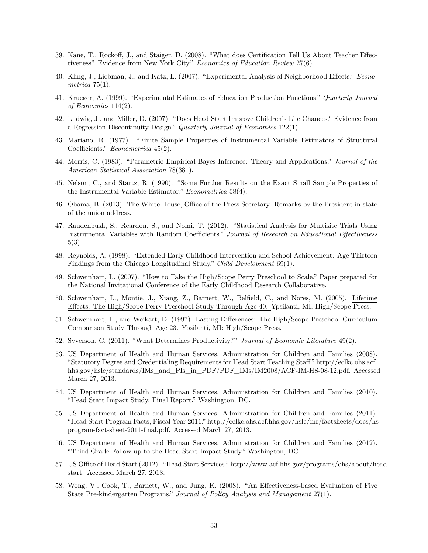- 39. Kane, T., Rockoff, J., and Staiger, D. (2008). "What does Certification Tell Us About Teacher Effectiveness? Evidence from New York City." *Economics of Education Review* 27(6).
- 40. Kling, J., Liebman, J., and Katz, L. (2007). "Experimental Analysis of Neighborhood Effects." *Econometrica* 75(1).
- 41. Krueger, A. (1999). "Experimental Estimates of Education Production Functions." *Quarterly Journal of Economics* 114(2).
- 42. Ludwig, J., and Miller, D. (2007). "Does Head Start Improve Children's Life Chances? Evidence from a Regression Discontinuity Design." *Quarterly Journal of Economics* 122(1).
- 43. Mariano, R. (1977). "Finite Sample Properties of Instrumental Variable Estimators of Structural Coefficients." *Econometrica* 45(2).
- 44. Morris, C. (1983). "Parametric Empirical Bayes Inference: Theory and Applications." *Journal of the American Statistical Association* 78(381).
- 45. Nelson, C., and Startz, R. (1990). "Some Further Results on the Exact Small Sample Properties of the Instrumental Variable Estimator." *Econometrica* 58(4).
- 46. Obama, B. (2013). The White House, Office of the Press Secretary. Remarks by the President in state of the union address.
- 47. Raudenbush, S., Reardon, S., and Nomi, T. (2012). "Statistical Analysis for Multisite Trials Using Instrumental Variables with Random Coefficients." *Journal of Research on Educational Effectiveness* 5(3).
- 48. Reynolds, A. (1998). "Extended Early Childhood Intervention and School Achievement: Age Thirteen Findings from the Chicago Longitudinal Study." *Child Development* 69(1).
- 49. Schweinhart, L. (2007). "How to Take the High/Scope Perry Preschool to Scale." Paper prepared for the National Invitational Conference of the Early Childhood Research Collaborative.
- 50. Schweinhart, L., Montie, J., Xiang, Z., Barnett, W., Belfield, C., and Nores, M. (2005). Lifetime Effects: The High/Scope Perry Preschool Study Through Age 40. Ypsilanti, MI: High/Scope Press.
- 51. Schweinhart, L., and Weikart, D. (1997). Lasting Differences: The High/Scope Preschool Curriculum Comparison Study Through Age 23. Ypsilanti, MI: High/Scope Press.
- 52. Syverson, C. (2011). "What Determines Productivity?" *Journal of Economic Literature* 49(2).
- 53. US Department of Health and Human Services, Administration for Children and Families (2008). "Statutory Degree and Credentialing Requirements for Head Start Teaching Staff." http://eclkc.ohs.acf. hhs.gov/hslc/standards/IMs\_and\_PIs\_in\_PDF/PDF\_IMs/IM2008/ACF-IM-HS-08-12.pdf. Accessed March 27, 2013.
- 54. US Department of Health and Human Services, Administration for Children and Families (2010). "Head Start Impact Study, Final Report." Washington, DC.
- 55. US Department of Health and Human Services, Administration for Children and Families (2011). "Head Start Program Facts, Fiscal Year 2011." http://eclkc.ohs.acf.hhs.gov/hslc/mr/factsheets/docs/hsprogram-fact-sheet-2011-final.pdf. Accessed March 27, 2013.
- 56. US Department of Health and Human Services, Administration for Children and Families (2012). "Third Grade Follow-up to the Head Start Impact Study." Washington, DC .
- 57. US Office of Head Start (2012). "Head Start Services." http://www.acf.hhs.gov/programs/ohs/about/headstart. Accessed March 27, 2013.
- 58. Wong, V., Cook, T., Barnett, W., and Jung, K. (2008). "An Effectiveness-based Evaluation of Five State Pre-kindergarten Programs." *Journal of Policy Analysis and Management* 27(1).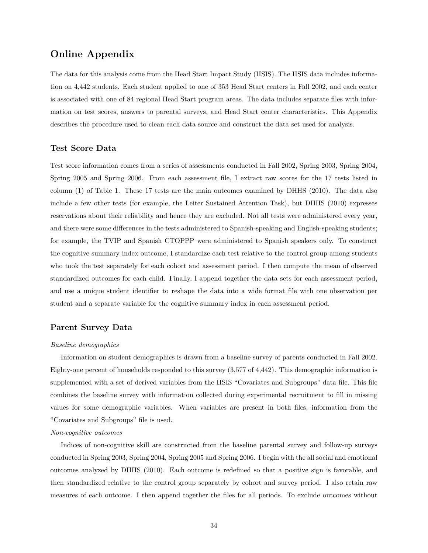# **Online Appendix**

The data for this analysis come from the Head Start Impact Study (HSIS). The HSIS data includes information on 4,442 students. Each student applied to one of 353 Head Start centers in Fall 2002, and each center is associated with one of 84 regional Head Start program areas. The data includes separate files with information on test scores, answers to parental surveys, and Head Start center characteristics. This Appendix describes the procedure used to clean each data source and construct the data set used for analysis.

### **Test Score Data**

Test score information comes from a series of assessments conducted in Fall 2002, Spring 2003, Spring 2004, Spring 2005 and Spring 2006. From each assessment file, I extract raw scores for the 17 tests listed in column (1) of Table 1. These 17 tests are the main outcomes examined by DHHS (2010). The data also include a few other tests (for example, the Leiter Sustained Attention Task), but DHHS (2010) expresses reservations about their reliability and hence they are excluded. Not all tests were administered every year, and there were some differences in the tests administered to Spanish-speaking and English-speaking students; for example, the TVIP and Spanish CTOPPP were administered to Spanish speakers only. To construct the cognitive summary index outcome, I standardize each test relative to the control group among students who took the test separately for each cohort and assessment period. I then compute the mean of observed standardized outcomes for each child. Finally, I append together the data sets for each assessment period, and use a unique student identifier to reshape the data into a wide format file with one observation per student and a separate variable for the cognitive summary index in each assessment period.

### **Parent Survey Data**

#### *Baseline demographics*

Information on student demographics is drawn from a baseline survey of parents conducted in Fall 2002. Eighty-one percent of households responded to this survey (3,577 of 4,442). This demographic information is supplemented with a set of derived variables from the HSIS "Covariates and Subgroups" data file. This file combines the baseline survey with information collected during experimental recruitment to fill in missing values for some demographic variables. When variables are present in both files, information from the "Covariates and Subgroups" file is used.

#### *Non-cognitive outcomes*

Indices of non-cognitive skill are constructed from the baseline parental survey and follow-up surveys conducted in Spring 2003, Spring 2004, Spring 2005 and Spring 2006. I begin with the all social and emotional outcomes analyzed by DHHS (2010). Each outcome is redefined so that a positive sign is favorable, and then standardized relative to the control group separately by cohort and survey period. I also retain raw measures of each outcome. I then append together the files for all periods. To exclude outcomes without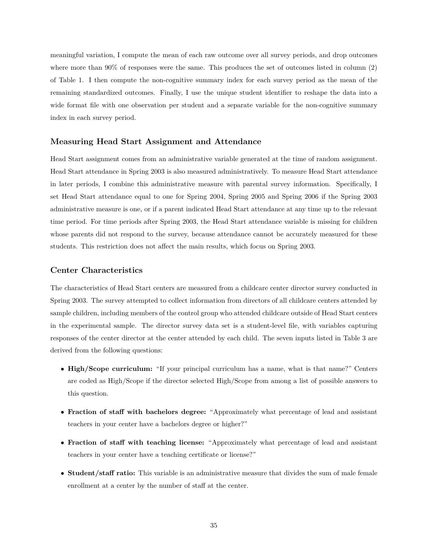meaningful variation, I compute the mean of each raw outcome over all survey periods, and drop outcomes where more than 90% of responses were the same. This produces the set of outcomes listed in column (2) of Table 1. I then compute the non-cognitive summary index for each survey period as the mean of the remaining standardized outcomes. Finally, I use the unique student identifier to reshape the data into a wide format file with one observation per student and a separate variable for the non-cognitive summary index in each survey period.

#### **Measuring Head Start Assignment and Attendance**

Head Start assignment comes from an administrative variable generated at the time of random assignment. Head Start attendance in Spring 2003 is also measured administratively. To measure Head Start attendance in later periods, I combine this administrative measure with parental survey information. Specifically, I set Head Start attendance equal to one for Spring 2004, Spring 2005 and Spring 2006 if the Spring 2003 administrative measure is one, or if a parent indicated Head Start attendance at any time up to the relevant time period. For time periods after Spring 2003, the Head Start attendance variable is missing for children whose parents did not respond to the survey, because attendance cannot be accurately measured for these students. This restriction does not affect the main results, which focus on Spring 2003.

#### **Center Characteristics**

The characteristics of Head Start centers are measured from a childcare center director survey conducted in Spring 2003. The survey attempted to collect information from directors of all childcare centers attended by sample children, including members of the control group who attended childcare outside of Head Start centers in the experimental sample. The director survey data set is a student-level file, with variables capturing responses of the center director at the center attended by each child. The seven inputs listed in Table 3 are derived from the following questions:

- **High/Scope curriculum:** "If your principal curriculum has a name, what is that name?" Centers are coded as High/Scope if the director selected High/Scope from among a list of possible answers to this question.
- **Fraction of staff with bachelors degree:** "Approximately what percentage of lead and assistant teachers in your center have a bachelors degree or higher?"
- **Fraction of staff with teaching license:** "Approximately what percentage of lead and assistant teachers in your center have a teaching certificate or license?"
- **Student/staff ratio:** This variable is an administrative measure that divides the sum of male female enrollment at a center by the number of staff at the center.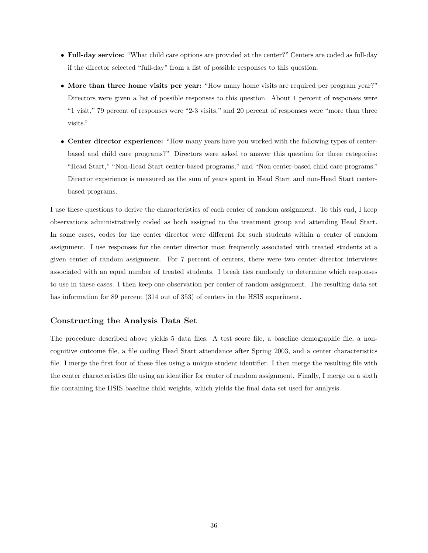- **Full-day service:** "What child care options are provided at the center?" Centers are coded as full-day if the director selected "full-day" from a list of possible responses to this question.
- **More than three home visits per year:** "How many home visits are required per program year?" Directors were given a list of possible responses to this question. About 1 percent of responses were "1 visit," 79 percent of responses were "2-3 visits," and 20 percent of responses were "more than three visits."
- **Center director experience:** "How many years have you worked with the following types of centerbased and child care programs?" Directors were asked to answer this question for three categories: "Head Start," "Non-Head Start center-based programs," and "Non center-based child care programs." Director experience is measured as the sum of years spent in Head Start and non-Head Start centerbased programs.

I use these questions to derive the characteristics of each center of random assignment. To this end, I keep observations administratively coded as both assigned to the treatment group and attending Head Start. In some cases, codes for the center director were different for such students within a center of random assignment. I use responses for the center director most frequently associated with treated students at a given center of random assignment. For 7 percent of centers, there were two center director interviews associated with an equal number of treated students. I break ties randomly to determine which responses to use in these cases. I then keep one observation per center of random assignment. The resulting data set has information for 89 percent (314 out of 353) of centers in the HSIS experiment.

### **Constructing the Analysis Data Set**

The procedure described above yields 5 data files: A test score file, a baseline demographic file, a noncognitive outcome file, a file coding Head Start attendance after Spring 2003, and a center characteristics file. I merge the first four of these files using a unique student identifier. I then merge the resulting file with the center characteristics file using an identifier for center of random assignment. Finally, I merge on a sixth file containing the HSIS baseline child weights, which yields the final data set used for analysis.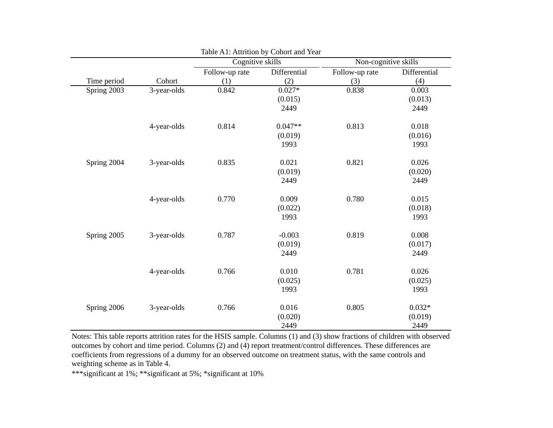|             |             |                | Cognitive skills |                | Non-cognitive skills |
|-------------|-------------|----------------|------------------|----------------|----------------------|
|             |             | Follow-up rate | Differential     | Follow-up rate | Differential         |
| Time period | Cohort      | (1)            | (2)              | (3)            | (4)                  |
| Spring 2003 | 3-year-olds | 0.842          | $0.027*$         | 0.838          | 0.003                |
|             |             |                | (0.015)          |                | (0.013)              |
|             |             |                | 2449             |                | 2449                 |
|             | 4-year-olds | 0.814          | $0.047**$        | 0.813          | 0.018                |
|             |             |                | (0.019)          |                | (0.016)              |
|             |             |                | 1993             |                | 1993                 |
| Spring 2004 | 3-year-olds | 0.835          | 0.021            | 0.821          | 0.026                |
|             |             |                | (0.019)          |                | (0.020)              |
|             |             |                | 2449             |                | 2449                 |
|             | 4-year-olds | 0.770          | 0.009            | 0.780          | 0.015                |
|             |             |                | (0.022)          |                | (0.018)              |
|             |             |                | 1993             |                | 1993                 |
| Spring 2005 | 3-year-olds | 0.787          | $-0.003$         | 0.819          | 0.008                |
|             |             |                | (0.019)          |                | (0.017)              |
|             |             |                | 2449             |                | 2449                 |
|             | 4-year-olds | 0.766          | 0.010            | 0.781          | 0.026                |
|             |             |                | (0.025)          |                | (0.025)              |
|             |             |                | 1993             |                | 1993                 |
| Spring 2006 | 3-year-olds | 0.766          | 0.016            | 0.805          | $0.032*$             |
|             |             |                | (0.020)          |                | (0.019)              |
|             |             |                | 2449             |                | 2449                 |

Table A1: Attrition by Cohort and Year

Notes: This table reports attrition rates for the HSIS sample. Columns (1) and (3) show fractions of children with observed outcomes by cohort and time period. Columns (2) and (4) report treatment/control differences. These differences are coefficients from regressions of a dummy for an observed outcome on treatment status, with the same controls and weighting scheme as in Table 4.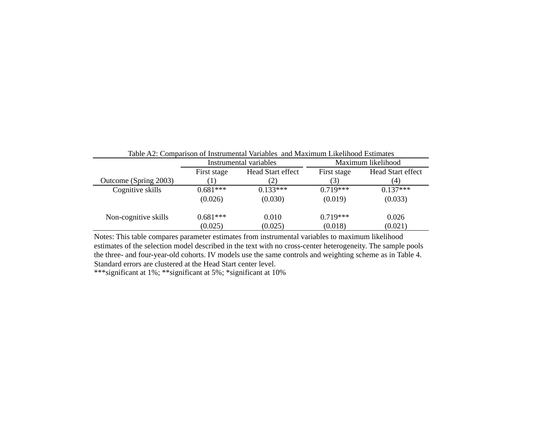| Table A2: Comparison of Instrumental Variables and Maximum Likelihood Estimates |             |                                                              |                    |            |  |  |  |
|---------------------------------------------------------------------------------|-------------|--------------------------------------------------------------|--------------------|------------|--|--|--|
|                                                                                 |             | Instrumental variables                                       | Maximum likelihood |            |  |  |  |
|                                                                                 | First stage | Head Start effect<br><b>Head Start effect</b><br>First stage |                    |            |  |  |  |
| Outcome (Spring 2003)                                                           |             | (2)                                                          | (3)                | (4)        |  |  |  |
| Cognitive skills                                                                | $0.681***$  | $0.133***$                                                   | $0.719***$         | $0.137***$ |  |  |  |
|                                                                                 | (0.026)     | (0.030)                                                      | (0.019)            | (0.033)    |  |  |  |
| Non-cognitive skills                                                            | $0.681***$  | 0.010                                                        | $0.719***$         | 0.026      |  |  |  |
|                                                                                 | (0.025)     | (0.025)                                                      | (0.018)            | (0.021)    |  |  |  |

Notes: This table compares parameter estimates from instrumental variables to maximum likelihood estimates of the selection model described in the text with no cross-center heterogeneity. The sample pools the three- and four-year-old cohorts. IV models use the same controls and weighting scheme as in Table 4. Standard errors are clustered at the Head Start center level.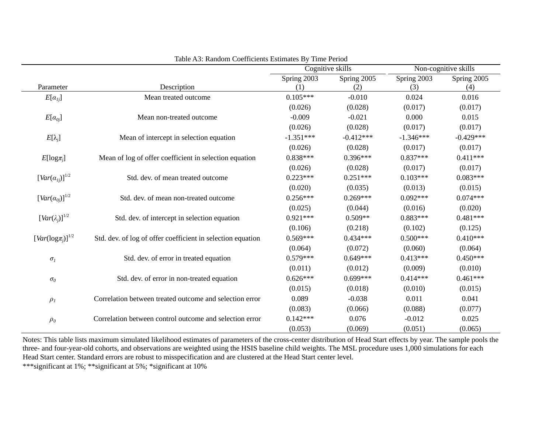|                                     |                                                             | Cognitive skills |             | Non-cognitive skills |             |
|-------------------------------------|-------------------------------------------------------------|------------------|-------------|----------------------|-------------|
|                                     |                                                             | Spring 2003      | Spring 2005 | Spring 2003          | Spring 2005 |
| Parameter                           | Description                                                 | (1)              | (2)         | (3)                  | (4)         |
| $E[\alpha_{1j}]$                    | Mean treated outcome                                        | $0.105***$       | $-0.010$    | 0.024                | 0.016       |
|                                     |                                                             | (0.026)          | (0.028)     | (0.017)              | (0.017)     |
| $E[\alpha_{oj}]$                    | Mean non-treated outcome                                    | $-0.009$         | $-0.021$    | 0.000                | 0.015       |
|                                     |                                                             | (0.026)          | (0.028)     | (0.017)              | (0.017)     |
| $E[\lambda_j]$                      | Mean of intercept in selection equation                     | $-1.351***$      | $-0.412***$ | $-1.346***$          | $-0.429***$ |
|                                     |                                                             | (0.026)          | (0.028)     | (0.017)              | (0.017)     |
| $E[log\pi_i]$                       | Mean of log of offer coefficient in selection equation      | $0.838***$       | $0.396***$  | $0.837***$           | $0.411***$  |
|                                     |                                                             | (0.026)          | (0.028)     | (0.017)              | (0.017)     |
| $[Var(\alpha_{1i})]^{1/2}$          | Std. dev. of mean treated outcome                           | $0.223***$       | $0.251***$  | $0.103***$           | $0.083***$  |
|                                     |                                                             | (0.020)          | (0.035)     | (0.013)              | (0.015)     |
| $[Var(\alpha_{0i})]^{1/2}$          | Std. dev. of mean non-treated outcome                       | $0.256***$       | $0.269***$  | $0.092***$           | $0.074***$  |
|                                     |                                                             | (0.025)          | (0.044)     | (0.016)              | (0.020)     |
| $\left[Var(\lambda_i)\right]^{1/2}$ | Std. dev. of intercept in selection equation                | $0.921***$       | $0.509**$   | $0.883***$           | $0.481***$  |
|                                     |                                                             | (0.106)          | (0.218)     | (0.102)              | (0.125)     |
| $[Var(log \pi_i)]^{1/2}$            | Std. dev. of log of offer coefficient in selection equation | $0.569***$       | $0.434***$  | $0.500***$           | $0.410***$  |
|                                     |                                                             | (0.064)          | (0.072)     | (0.060)              | (0.064)     |
| $\sigma_{\scriptscriptstyle I}$     | Std. dev. of error in treated equation                      | $0.579***$       | $0.649***$  | $0.413***$           | $0.450***$  |
|                                     |                                                             | (0.011)          | (0.012)     | (0.009)              | (0.010)     |
| $\sigma_{\scriptscriptstyle 0}$     | Std. dev. of error in non-treated equation                  | $0.626***$       | $0.699***$  | $0.414***$           | $0.461***$  |
|                                     |                                                             | (0.015)          | (0.018)     | (0.010)              | (0.015)     |
| $\rho_I$                            | Correlation between treated outcome and selection error     | 0.089            | $-0.038$    | 0.011                | 0.041       |
|                                     |                                                             | (0.083)          | (0.066)     | (0.088)              | (0.077)     |
| $\rho_{\scriptscriptstyle\theta}$   | Correlation between control outcome and selection error     | $0.142***$       | 0.076       | $-0.012$             | 0.025       |
|                                     |                                                             | (0.053)          | (0.069)     | (0.051)              | (0.065)     |

Table A3: Random Coefficients Estimates By Time Period

Notes: This table lists maximum simulated likelihood estimates of parameters of the cross-center distribution of Head Start effects by year. The sample pools the three- and four-year-old cohorts, and observations are weighted using the HSIS baseline child weights. The MSL procedure uses 1,000 simulations for each Head Start center. Standard errors are robust to misspecification and are clustered at the Head Start center level.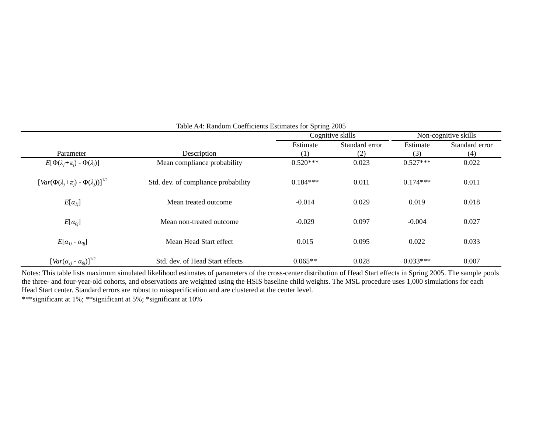|                                                                 |                                     |            | Cognitive skills | Non-cognitive skills |                |  |
|-----------------------------------------------------------------|-------------------------------------|------------|------------------|----------------------|----------------|--|
|                                                                 |                                     | Estimate   | Standard error   | Estimate             | Standard error |  |
| Parameter                                                       | Description                         | (1)        | (2)              | (3)                  | (4)            |  |
| $E[\Phi(\lambda_i+\pi_i)-\Phi(\lambda_i)]$                      | Mean compliance probability         | $0.520***$ | 0.023            | $0.527***$           | 0.022          |  |
| $\left[Var(\Phi(\lambda_j+\pi_j)-\Phi(\lambda_i))\right]^{1/2}$ | Std. dev. of compliance probability | $0.184***$ | 0.011            | $0.174***$           | 0.011          |  |
| $E[\alpha_{lj}]$                                                | Mean treated outcome                | $-0.014$   | 0.029            | 0.019                | 0.018          |  |
| $E[\alpha_{0i}]$                                                | Mean non-treated outcome            | $-0.029$   | 0.097            | $-0.004$             | 0.027          |  |
| $E[\alpha_{1j}$ - $\alpha_{0j}]$                                | Mean Head Start effect              | 0.015      | 0.095            | 0.022                | 0.033          |  |
| $[Var(\alpha_{1j} - \alpha_{0j})]^{1/2}$                        | Std. dev. of Head Start effects     | $0.065**$  | 0.028            | $0.033***$           | 0.007          |  |

## Table A4: Random Coefficients Estimates for Spring 2005

Notes: This table lists maximum simulated likelihood estimates of parameters of the cross-center distribution of Head Start effects in Spring 2005. The sample pools the three- and four-year-old cohorts, and observations are weighted using the HSIS baseline child weights. The MSL procedure uses 1,000 simulations for each Head Start center. Standard errors are robust to misspecification and are clustered at the center level.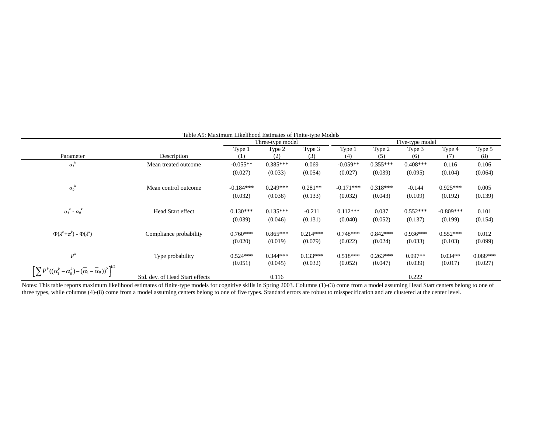|                                                                                                      | radio <i>r</i> rollaritum Encimou Estimates of Finite type models | Three-type model |            |            | Five-type model |            |            |             |            |
|------------------------------------------------------------------------------------------------------|-------------------------------------------------------------------|------------------|------------|------------|-----------------|------------|------------|-------------|------------|
|                                                                                                      |                                                                   | Type 1           | Type 2     | Type 3     | Type 1          | Type 2     | Type 3     | Type 4      | Type 5     |
| Parameter                                                                                            | Description                                                       | (1)              | (2)        | (3)        | (4)             | (5)        | (6)        | (7)         | (8)        |
| $a_i^k$                                                                                              | Mean treated outcome                                              | $-0.055**$       | $0.385***$ | 0.069      | $-0.059**$      | $0.355***$ | $0.408***$ | 0.116       | 0.106      |
|                                                                                                      |                                                                   | (0.027)          | (0.033)    | (0.054)    | (0.027)         | (0.039)    | (0.095)    | (0.104)     | (0.064)    |
| $a_o^k$                                                                                              | Mean control outcome                                              | $-0.184***$      | $0.249***$ | $0.281**$  | $-0.171***$     | $0.318***$ | $-0.144$   | $0.925***$  | 0.005      |
|                                                                                                      |                                                                   | (0.032)          | (0.038)    | (0.133)    | (0.032)         | (0.043)    | (0.109)    | (0.192)     | (0.139)    |
| $\alpha_1^k$ - $\alpha_0^k$                                                                          | Head Start effect                                                 | $0.130***$       | $0.135***$ | $-0.211$   | $0.112***$      | 0.037      | $0.552***$ | $-0.809***$ | 0.101      |
|                                                                                                      |                                                                   | (0.039)          | (0.046)    | (0.131)    | (0.040)         | (0.052)    | (0.137)    | (0.199)     | (0.154)    |
| $\Phi(\lambda^k+\pi^k)$ - $\Phi(\lambda^k)$                                                          | Compliance probability                                            | $0.760***$       | $0.865***$ | $0.214***$ | $0.748***$      | $0.842***$ | $0.936***$ | $0.552***$  | 0.012      |
|                                                                                                      |                                                                   | (0.020)          | (0.019)    | (0.079)    | (0.022)         | (0.024)    | (0.033)    | (0.103)     | (0.099)    |
| $P^k$                                                                                                | Type probability                                                  | $0.524***$       | $0.344***$ | $0.133***$ | $0.518***$      | $0.263***$ | $0.097**$  | $0.034**$   | $0.088***$ |
|                                                                                                      |                                                                   | (0.051)          | (0.045)    | (0.032)    | (0.052)         | (0.047)    | (0.039)    | (0.017)     | (0.027)    |
| $\left[\sum P^{k}((\alpha_1^k-\alpha_0^k)-(\overline{\alpha}_1-\overline{\alpha}_0))^2\right]^{1/2}$ | Std. dev. of Head Start effects                                   |                  | 0.116      |            |                 |            | 0.222      |             |            |

### Table A5: Maximum Likelihood Estimates of Finite-type Models

Notes: This table reports maximum likelihood estimates of finite-type models for cognitive skills in Spring 2003. Columns (1)-(3) come from a model assuming Head Start centers belong to one of three types, while columns (4)-(8) come from a model assuming centers belong to one of five types. Standard errors are robust to misspecification and are clustered at the center level.